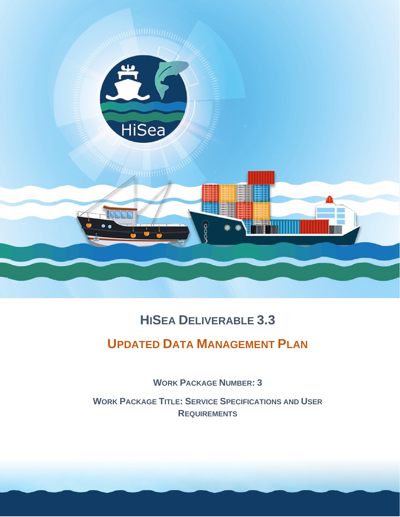

# **HISEA DELIVERABLE 3.3**

# **UPDATED DATA MANAGEMENT PLAN**

**WORK PACKAGE NUMBER: 3**

**WORK PACKAGE TITLE: SERVICE SPECIFICATIONS AND USER REQUIREMENTS**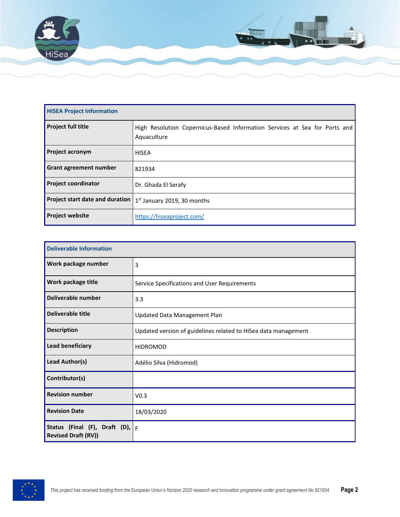

| <b>HISEA Project Information</b>       |                                                                                           |  |  |  |
|----------------------------------------|-------------------------------------------------------------------------------------------|--|--|--|
| <b>Project full title</b>              | High Resolution Copernicus-Based Information Services at Sea for Ports and<br>Aquaculture |  |  |  |
| <b>Project acronym</b>                 | <b>HISEA</b>                                                                              |  |  |  |
| Grant agreement number                 | 821934                                                                                    |  |  |  |
| <b>Project coordinator</b>             | Dr. Ghada El Serafy                                                                       |  |  |  |
| <b>Project start date and duration</b> | 1 <sup>st</sup> January 2019, 30 months                                                   |  |  |  |
| <b>Project website</b>                 | https://hiseaproject.com/                                                                 |  |  |  |

| <b>Deliverable Information</b>                              |                                                                |  |
|-------------------------------------------------------------|----------------------------------------------------------------|--|
| Work package number                                         | 3                                                              |  |
| Work package title                                          | Service Specifications and User Requirements                   |  |
| Deliverable number                                          | 3.3                                                            |  |
| <b>Deliverable title</b>                                    | <b>Updated Data Management Plan</b>                            |  |
| <b>Description</b>                                          | Updated version of guidelines related to HiSea data management |  |
| Lead beneficiary                                            | <b>HIDROMOD</b>                                                |  |
| Lead Author(s)                                              | Adélio Silva (Hidromod)                                        |  |
| Contributor(s)                                              |                                                                |  |
| <b>Revision number</b>                                      | V <sub>0.3</sub>                                               |  |
| <b>Revision Date</b>                                        | 18/03/2020                                                     |  |
| Status (Final (F), Draft (D),<br><b>Revised Draft (RV))</b> | F                                                              |  |

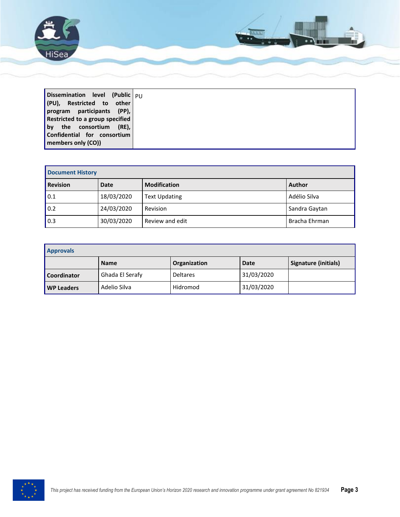

| <b>Dissemination level (Public</b> $p_{1}$ |  |
|--------------------------------------------|--|
| (PU), Restricted to other                  |  |
| program participants (PP),                 |  |
| Restricted to a group specified            |  |
| by the consortium $(RE)$ ,                 |  |
| Confidential for consortium                |  |
| $\blacksquare$ members only $(CO)$         |  |

| <b>Document History</b> |             |                      |               |
|-------------------------|-------------|----------------------|---------------|
| <b>Revision</b>         | <b>Date</b> | <b>Modification</b>  | <b>Author</b> |
| 0.1                     | 18/03/2020  | <b>Text Updating</b> | Adélio Silva  |
| $\overline{0.2}$        | 24/03/2020  | Revision             | Sandra Gaytan |
| 0.3                     | 30/03/2020  | Review and edit      | Bracha Ehrman |

| <b>Approvals</b>  |                 |                 |            |                      |
|-------------------|-----------------|-----------------|------------|----------------------|
|                   | <b>Name</b>     | Organization    | Date       | Signature (initials) |
| Coordinator       | Ghada El Serafy | <b>Deltares</b> | 31/03/2020 |                      |
| <b>WP Leaders</b> | Adelio Silva    | Hidromod        | 31/03/2020 |                      |

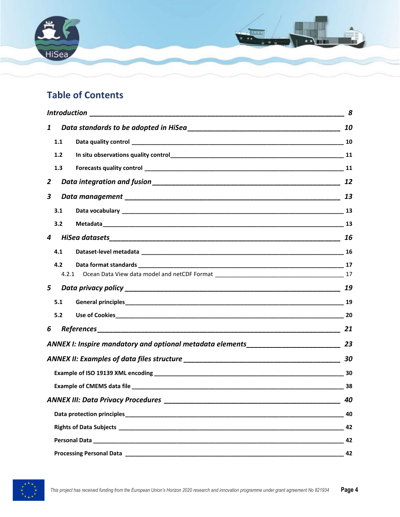

# **Table of Contents**

| $\mathbf{1}$                                                                     | 10 |
|----------------------------------------------------------------------------------|----|
| 1.1                                                                              |    |
| 1.2                                                                              |    |
| 1.3                                                                              |    |
| $\overline{2}$                                                                   |    |
| 3                                                                                | 13 |
| 3.1                                                                              |    |
| 3.2                                                                              |    |
| 4                                                                                |    |
| 4.1                                                                              |    |
| 4.2                                                                              |    |
| 4.2.1                                                                            |    |
| 5                                                                                | 19 |
| 5.1                                                                              |    |
| 5.2                                                                              |    |
| 6                                                                                | 21 |
| ANNEX I: Inspire mandatory and optional metadata elements_______________________ | 23 |
|                                                                                  | 30 |
|                                                                                  |    |
|                                                                                  |    |
| <b>ANNEX III: Data Privacy Procedures</b>                                        | 40 |
|                                                                                  | 40 |
|                                                                                  | 42 |
|                                                                                  | 42 |
|                                                                                  | 42 |

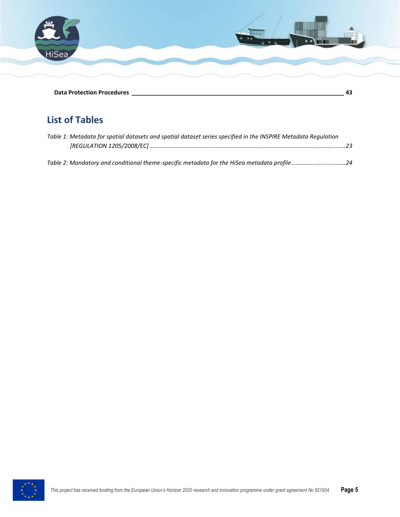

# **List of Tables**

| Table 1: Metadata for spatial datasets and spatial dataset series specified in the INSPIRE Metadata Regulation |  |
|----------------------------------------------------------------------------------------------------------------|--|
|                                                                                                                |  |
|                                                                                                                |  |

*[Table 2: Mandatory and conditional theme-specific metadata for the HiSea metadata profile.................................24](#page-23-0)*

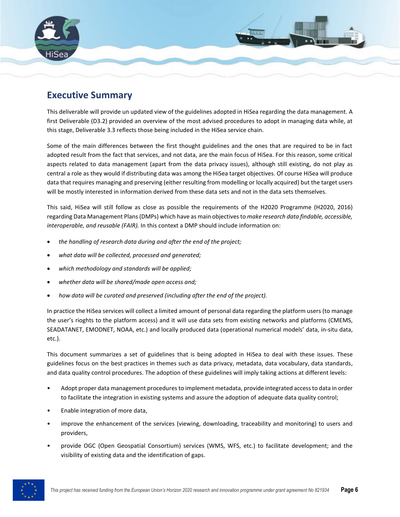

# **Executive Summary**

This deliverable will provide un updated view of the guidelines adopted in HiSea regarding the data management. A first Deliverable (D3.2) provided an overview of the most advised procedures to adopt in managing data while, at this stage, Deliverable 3.3 reflects those being included in the HiSea service chain.

Some of the main differences between the first thought guidelines and the ones that are required to be in fact adopted result from the fact that services, and not data, are the main focus of HiSea. For this reason, some critical aspects related to data management (apart from the data privacy issues), although still existing, do not play as central a role as they would if distributing data was among the HiSea target objectives. Of course HiSea will produce data that requires managing and preserving (either resulting from modelling or locally acquired) but the target users will be mostly interested in information derived from these data sets and not in the data sets themselves.

This said, HiSea will still follow as close as possible the requirements of the H2020 Programme (H2020, 2016) regarding Data Management Plans (DMPs) which have as main objectives to *make research data findable, accessible, interoperable, and reusable (FAIR).* In this context a DMP should include information on:

- *the handling of research data during and after the end of the project;*
- *what data will be collected, processed and generated;*
- *which methodology and standards will be applied;*
- *whether data will be shared/made open access and;*
- *how data will be curated and preserved (including after the end of the project).*

In practice the HiSea services will collect a limited amount of personal data regarding the platform users (to manage the user's rioghts to the platform access) and it will use data sets from existing networks and platforms (CMEMS, SEADATANET, EMODNET, NOAA, etc.) and locally produced data (operational numerical models' data, in-situ data, etc.).

This document summarizes a set of guidelines that is being adopted in HiSea to deal with these issues. These guidelines focus on the best practices in themes such as data privacy, metadata, data vocabulary, data standards, and data quality control procedures. The adoption of these guidelines will imply taking actions at different levels:

- Adopt proper data management procedures to implement metadata, provide integrated access to data in order to facilitate the integration in existing systems and assure the adoption of adequate data quality control;
- Enable integration of more data,
- improve the enhancement of the services (viewing, downloading, traceability and monitoring) to users and providers,
- provide OGC (Open Geospatial Consortium) services (WMS, WFS, etc.) to facilitate development; and the visibility of existing data and the identification of gaps.

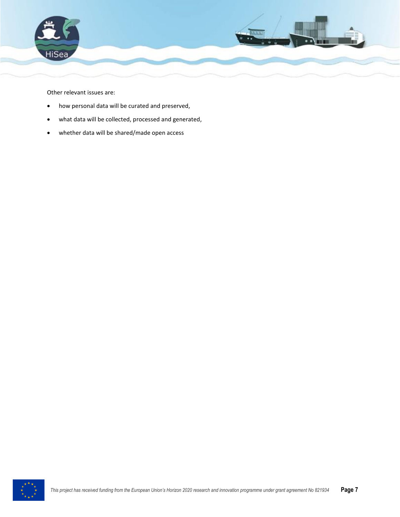

Other relevant issues are:

- how personal data will be curated and preserved,
- what data will be collected, processed and generated,
- whether data will be shared/made open access

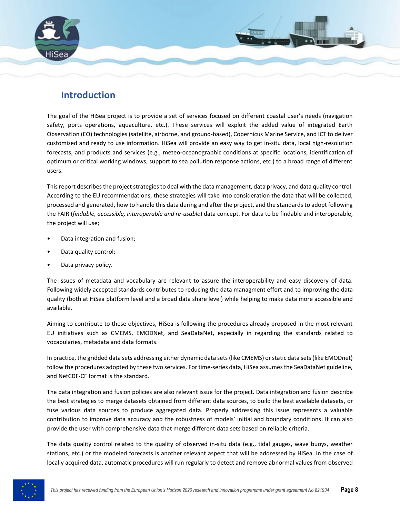

#### <span id="page-7-0"></span>**Introduction**

The goal of the HiSea project is to provide a set of services focused on different coastal user's needs (navigation safety, ports operations, aquaculture, etc.). These services will exploit the added value of integrated Earth Observation (EO) technologies (satellite, airborne, and ground-based), Copernicus Marine Service, and ICT to deliver customized and ready to use information. HiSea will provide an easy way to get in-situ data, local high-resolution forecasts, and products and services (e.g., meteo-oceanographic conditions at specific locations, identification of optimum or critical working windows, support to sea pollution response actions, etc.) to a broad range of different users.

This report describes the project strategies to deal with the data management, data privacy, and data quality control. According to the EU recommendations, these strategies will take into consideration the data that will be collected, processed and generated, how to handle this data during and after the project, and the standards to adopt following the FAIR (*findable, accessible, interoperable and re-usable*) data concept. For data to be findable and interoperable, the project will use;

- Data integration and fusion;
- Data quality control;
- Data privacy policy.

The issues of metadata and vocabulary are relevant to assure the interoperability and easy discovery of data. Following widely accepted standards contributes to reducing the data managment effort and to improving the data quality (both at HiSea platform level and a broad data share level) while helping to make data more accessible and available.

Aiming to contribute to these objectives, HiSea is following the procedures already proposed in the most relevant EU initiatives such as CMEMS, EMODNet, and SeaDataNet, especially in regarding the standards related to vocabularies, metadata and data formats.

In practice, the gridded data sets addressing either dynamic data sets (like CMEMS) or static data sets (like EMODnet) follow the procedures adopted by these two services. For time-series data, HiSea assumes the SeaDataNet guideline, and NetCDF-CF format is the standard.

The data integration and fusion policies are also relevant issue for the project. Data integration and fusion describe the best strategies to merge datasets obtained from different data sources, to build the best available datasets, or fuse various data sources to produce aggregated data. Properly addressing this issue represents a valuable contribution to improve data accuracy and the robustness of models' initial and boundary conditions. It can also provide the user with comprehensive data that merge different data sets based on reliable criteria.

The data quality control related to the quality of observed in-situ data (e.g., tidal gauges, wave buoys, weather stations, etc.) or the modeled forecasts is another relevant aspect that will be addressed by HiSea. In the case of locally acquired data, automatic procedures will run regularly to detect and remove abnormal values from observed

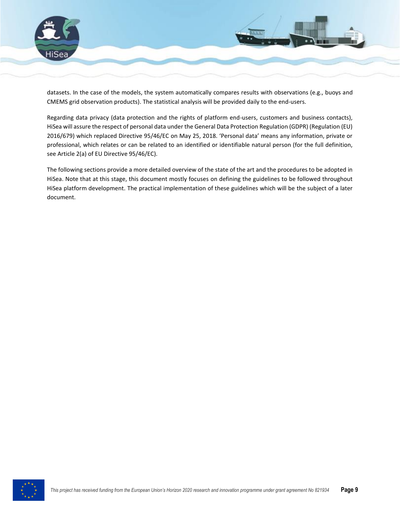

datasets. In the case of the models, the system automatically compares results with observations (e.g., buoys and CMEMS grid observation products). The statistical analysis will be provided daily to the end-users.

Regarding data privacy (data protection and the rights of platform end-users, customers and business contacts), HiSea will assure the respect of personal data under the General Data Protection Regulation (GDPR) (Regulation (EU) 2016/679) which replaced Directive 95/46/EC on May 25, 2018. 'Personal data' means any information, private or professional, which relates or can be related to an identified or identifiable natural person (for the full definition, see Article 2(a) of EU Directive 95/46/EC).

The following sections provide a more detailed overview of the state of the art and the procedures to be adopted in HiSea. Note that at this stage, this document mostly focuses on defining the guidelines to be followed throughout HiSea platform development. The practical implementation of these guidelines which will be the subject of a later document.

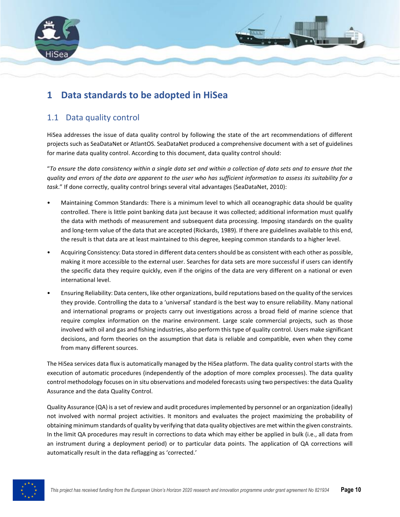

# <span id="page-9-0"></span>**1 Data standards to be adopted in HiSea**

#### <span id="page-9-1"></span>1.1 Data quality control

HiSea addresses the issue of data quality control by following the state of the art recommendations of different projects such as SeaDataNet or AtlantOS. SeaDataNet produced a comprehensive document with a set of guidelines for marine data quality control. According to this document, data quality control should:

"*To ensure the data consistency within a single data set and within a collection of data sets and to ensure that the quality and errors of the data are apparent to the user who has sufficient information to assess its suitability for a task*." If done correctly, quality control brings several vital advantages (SeaDataNet, 2010):

- Maintaining Common Standards: There is a minimum level to which all oceanographic data should be quality controlled. There is little point banking data just because it was collected; additional information must qualify the data with methods of measurement and subsequent data processing. Imposing standards on the quality and long-term value of the data that are accepted (Rickards, 1989). If there are guidelines available to this end, the result is that data are at least maintained to this degree, keeping common standards to a higher level.
- Acquiring Consistency: Data stored in different data centers should be as consistent with each other as possible, making it more accessible to the external user. Searches for data sets are more successful if users can identify the specific data they require quickly, even if the origins of the data are very different on a national or even international level.
- Ensuring Reliability: Data centers, like other organizations, build reputations based on the quality of the services they provide. Controlling the data to a 'universal' standard is the best way to ensure reliability. Many national and international programs or projects carry out investigations across a broad field of marine science that require complex information on the marine environment. Large scale commercial projects, such as those involved with oil and gas and fishing industries, also perform this type of quality control. Users make significant decisions, and form theories on the assumption that data is reliable and compatible, even when they come from many different sources.

The HiSea services data flux is automatically managed by the HiSea platform. The data quality control starts with the execution of automatic procedures (independently of the adoption of more complex processes). The data quality control methodology focuses on in situ observations and modeled forecasts using two perspectives: the data Quality Assurance and the data Quality Control.

Quality Assurance (QA) is a set of review and audit procedures implemented by personnel or an organization (ideally) not involved with normal project activities. It monitors and evaluates the project maximizing the probability of obtaining minimum standards of quality by verifying that data quality objectives are met within the given constraints. In the limit QA procedures may result in corrections to data which may either be applied in bulk (i.e., all data from an instrument during a deployment period) or to particular data points. The application of QA corrections will automatically result in the data reflagging as 'corrected.'

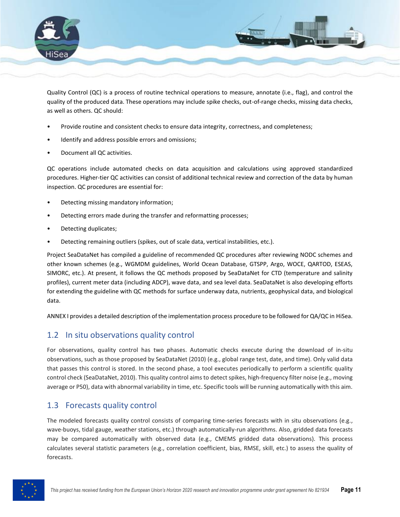

Quality Control (QC) is a process of routine technical operations to measure, annotate (i.e., flag), and control the quality of the produced data. These operations may include spike checks, out-of-range checks, missing data checks, as well as others. QC should:

- Provide routine and consistent checks to ensure data integrity, correctness, and completeness;
- Identify and address possible errors and omissions;
- Document all QC activities.

QC operations include automated checks on data acquisition and calculations using approved standardized procedures. Higher-tier QC activities can consist of additional technical review and correction of the data by human inspection. QC procedures are essential for:

- Detecting missing mandatory information;
- Detecting errors made during the transfer and reformatting processes;
- Detecting duplicates;
- Detecting remaining outliers (spikes, out of scale data, vertical instabilities, etc.).

Project SeaDataNet has compiled a guideline of recommended QC procedures after reviewing NODC schemes and other known schemes (e.g., WGMDM guidelines, World Ocean Database, GTSPP, Argo, WOCE, QARTOD, ESEAS, SIMORC, etc.). At present, it follows the QC methods proposed by SeaDataNet for CTD (temperature and salinity profiles), current meter data (including ADCP), wave data, and sea level data. SeaDataNet is also developing efforts for extending the guideline with QC methods for surface underway data, nutrients, geophysical data, and biological data.

ANNEX I provides a detailed description of the implementation process procedure to be followed for QA/QC in HiSea.

#### <span id="page-10-0"></span>1.2 In situ observations quality control

For observations, quality control has two phases. Automatic checks execute during the download of in-situ observations, such as those proposed by SeaDataNet (2010) (e.g., global range test, date, and time). Only valid data that passes this control is stored. In the second phase, a tool executes periodically to perform a scientific quality control check (SeaDataNet, 2010). This quality control aims to detect spikes, high-frequency filter noise (e.g., moving average or P50), data with abnormal variability in time, etc. Specific tools will be running automatically with this aim.

#### <span id="page-10-1"></span>1.3 Forecasts quality control

The modeled forecasts quality control consists of comparing time-series forecasts with in situ observations (e.g., wave-buoys, tidal gauge, weather stations, etc.) through automatically-run algorithms. Also, gridded data forecasts may be compared automatically with observed data (e.g., CMEMS gridded data observations). This process calculates several statistic parameters (e.g., correlation coefficient, bias, RMSE, skill, etc.) to assess the quality of forecasts.

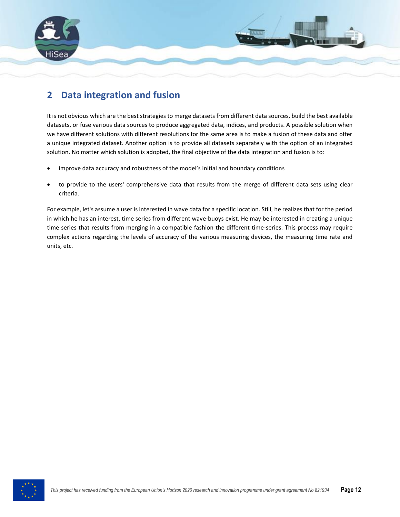

# <span id="page-11-0"></span>**2 Data integration and fusion**

It is not obvious which are the best strategies to merge datasets from different data sources, build the best available datasets, or fuse various data sources to produce aggregated data, indices, and products. A possible solution when we have different solutions with different resolutions for the same area is to make a fusion of these data and offer a unique integrated dataset. Another option is to provide all datasets separately with the option of an integrated solution. No matter which solution is adopted, the final objective of the data integration and fusion is to:

- improve data accuracy and robustness of the model's initial and boundary conditions
- to provide to the users' comprehensive data that results from the merge of different data sets using clear criteria.

For example, let's assume a user is interested in wave data for a specific location. Still, he realizes that for the period in which he has an interest, time series from different wave-buoys exist. He may be interested in creating a unique time series that results from merging in a compatible fashion the different time-series. This process may require complex actions regarding the levels of accuracy of the various measuring devices, the measuring time rate and units, etc.

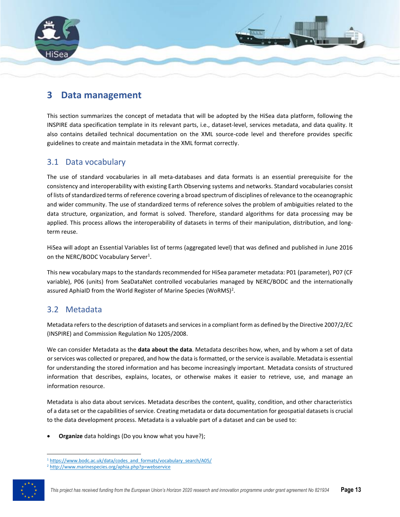

#### <span id="page-12-0"></span>**3 Data management**

This section summarizes the concept of metadata that will be adopted by the HiSea data platform, following the INSPIRE data specification template in its relevant parts, i.e., dataset-level, services metadata, and data quality. It also contains detailed technical documentation on the XML source-code level and therefore provides specific guidelines to create and maintain metadata in the XML format correctly.

#### <span id="page-12-1"></span>3.1 Data vocabulary

The use of standard vocabularies in all meta-databases and data formats is an essential prerequisite for the consistency and interoperability with existing Earth Observing systems and networks. Standard vocabularies consist of lists of standardized terms of reference covering a broad spectrum of disciplines of relevance to the oceanographic and wider community. The use of standardized terms of reference solves the problem of ambiguities related to the data structure, organization, and format is solved. Therefore, standard algorithms for data processing may be applied. This process allows the interoperability of datasets in terms of their manipulation, distribution, and longterm reuse.

HiSea will adopt an Essential Variables list of terms (aggregated level) that was defined and published in June 2016 on the NERC/BODC Vocabulary Server<sup>1</sup>.

This new vocabulary maps to the standards recommended for HiSea parameter metadata: P01 (parameter), P07 (CF variable), P06 (units) from SeaDataNet controlled vocabularies managed by NERC/BODC and the internationally assured AphiaID from the World Register of Marine Species (WoRMS)<sup>2</sup>.

#### <span id="page-12-2"></span>3.2 Metadata

Metadata refers to the description of datasets and services in a compliant form as defined by the Directive 2007/2/EC (INSPIRE) and Commission Regulation No 1205/2008.

We can consider Metadata as the **data about the data**. Metadata describes how, when, and by whom a set of data or services was collected or prepared, and how the data is formatted, or the service is available. Metadata is essential for understanding the stored information and has become increasingly important. Metadata consists of structured information that describes, explains, locates, or otherwise makes it easier to retrieve, use, and manage an information resource.

Metadata is also data about services. Metadata describes the content, quality, condition, and other characteristics of a data set or the capabilities of service. Creating metadata or data documentation for geospatial datasets is crucial to the data development process. Metadata is a valuable part of a dataset and can be used to:

• **Organize** data holdings (Do you know what you have?);

<sup>2</sup> <http://www.marinespecies.org/aphia.php?p=webservice>



<sup>&</sup>lt;sup>1</sup> [https://www.bodc.ac.uk/data/codes\\_and\\_formats/vocabulary\\_search/A05/](https://www.bodc.ac.uk/data/codes_and_formats/vocabulary_search/A05/)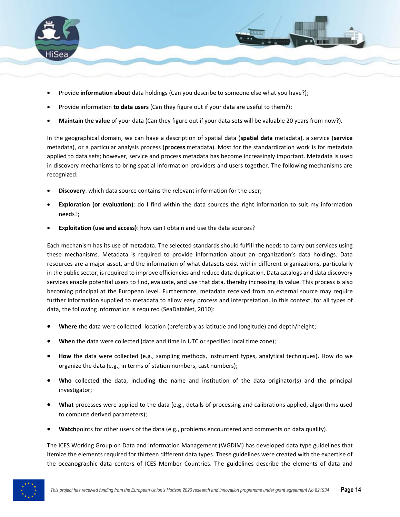

- Provide **information about** data holdings (Can you describe to someone else what you have?);
- Provide information **to data users** (Can they figure out if your data are useful to them?);
- **Maintain the value** of your data (Can they figure out if your data sets will be valuable 20 years from now?).

In the geographical domain, we can have a description of spatial data (**spatial data** metadata), a service (**service** metadata), or a particular analysis process (**process** metadata). Most for the standardization work is for metadata applied to data sets; however, service and process metadata has become increasingly important. Metadata is used in discovery mechanisms to bring spatial information providers and users together. The following mechanisms are recognized:

- **Discovery:** which data source contains the relevant information for the user;
- **Exploration (or evaluation)**: do I find within the data sources the right information to suit my information needs?;
- **Exploitation (use and access)**: how can I obtain and use the data sources?

Each mechanism has its use of metadata. The selected standards should fulfill the needs to carry out services using these mechanisms. Metadata is required to provide information about an organization's data holdings. Data resources are a major asset, and the information of what datasets exist within different organizations, particularly in the public sector, is required to improve efficiencies and reduce data duplication. Data catalogs and data discovery services enable potential users to find, evaluate, and use that data, thereby increasing its value. This process is also becoming principal at the European level. Furthermore, metadata received from an external source may require further information supplied to metadata to allow easy process and interpretation. In this context, for all types of data, the following information is required (SeaDataNet, 2010):

- **Where** the data were collected: location (preferably as latitude and longitude) and depth/height;
- **When** the data were collected (date and time in UTC or specified local time zone);
- **How** the data were collected (e.g., sampling methods, instrument types, analytical techniques). How do we organize the data (e.g., in terms of station numbers, cast numbers);
- **Who** collected the data, including the name and institution of the data originator(s) and the principal investigator;
- **What** processes were applied to the data (e.g., details of processing and calibrations applied, algorithms used to compute derived parameters);
- **Watch**points for other users of the data (e.g., problems encountered and comments on data quality).

The ICES Working Group on Data and Information Management (WGDIM) has developed data type guidelines that itemize the elements required for thirteen different data types. These guidelines were created with the expertise of the oceanographic data centers of ICES Member Countries. The guidelines describe the elements of data and

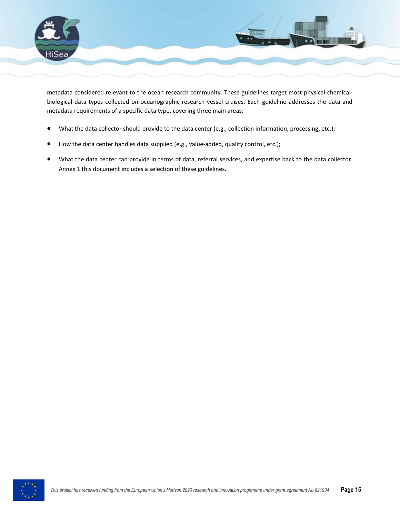

metadata considered relevant to the ocean research community. These guidelines target most physical-chemicalbiological data types collected on oceanographic research vessel cruises. Each guideline addresses the data and metadata requirements of a specific data type, covering three main areas:

- What the data collector should provide to the data center (e.g., collection information, processing, etc.);
- How the data center handles data supplied (e.g., value-added, quality control, etc.);
- What the data center can provide in terms of data, referral services, and expertise back to the data collector. Annex 1 this document includes a selection of these guidelines.

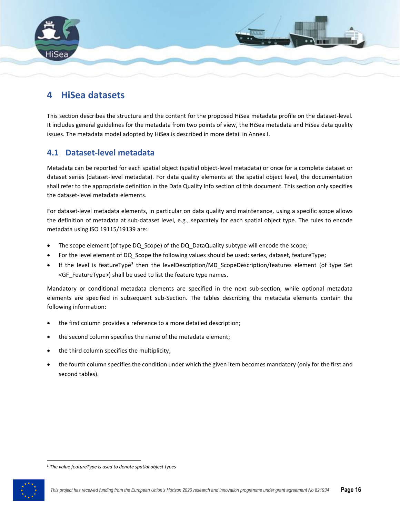

## <span id="page-15-0"></span>**4 HiSea datasets**

This section describes the structure and the content for the proposed HiSea metadata profile on the dataset-level. It includes general guidelines for the metadata from two points of view, the HiSea metadata and HiSea data quality issues. The metadata model adopted by HiSea is described in more detail in Annex I.

#### <span id="page-15-1"></span>**4.1 Dataset-level metadata**

Metadata can be reported for each spatial object (spatial object-level metadata) or once for a complete dataset or dataset series (dataset-level metadata). For data quality elements at the spatial object level, the documentation shall refer to the appropriate definition in the Data Quality Info section of this document. This section only specifies the dataset-level metadata elements.

For dataset-level metadata elements, in particular on data quality and maintenance, using a specific scope allows the definition of metadata at sub-dataset level, e.g., separately for each spatial object type. The rules to encode metadata using ISO 19115/19139 are:

- The scope element (of type DQ\_Scope) of the DQ\_DataQuality subtype will encode the scope;
- For the level element of DQ\_Scope the following values should be used: series, dataset, featureType;
- If the level is featureType<sup>3</sup> then the levelDescription/MD\_ScopeDescription/features element (of type Set <GF\_FeatureType>) shall be used to list the feature type names.

Mandatory or conditional metadata elements are specified in the next sub-section, while optional metadata elements are specified in subsequent sub-Section. The tables describing the metadata elements contain the following information:

- the first column provides a reference to a more detailed description;
- the second column specifies the name of the metadata element;
- the third column specifies the multiplicity;
- the fourth column specifies the condition under which the given item becomes mandatory (only for the first and second tables).

<sup>3</sup> *The value featureType is used to denote spatial object types*

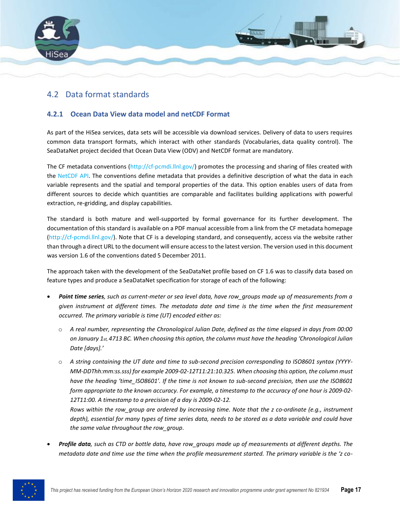

#### <span id="page-16-0"></span>4.2 Data format standards

#### <span id="page-16-1"></span>**4.2.1 Ocean Data View data model and netCDF Format**

As part of the HiSea services, data sets will be accessible via download services. Delivery of data to users requires common data transport formats, which interact with other standards [\(Vocabularies,](https://www.seadatanet.org/Standards/Common-Vocabularies) [data](https://www.seadatanet.org/Standards/Data-Quality-Control) quality control). The SeaDataNet project decided that Ocean Data View (ODV) and NetCDF format are mandatory.

The CF metadata conventions (http://cf-pcmdi.llnl.gov/) promotes the processing and sharing of files created with the NetCDF API. The conventions define metadata that provides a definitive description of what the data in each variable represents and the spatial and temporal properties of the data. This option enables users of data from different sources to decide which quantities are comparable and facilitates building applications with powerful extraction, re-gridding, and display capabilities.

The standard is both mature and well-supported by formal governance for its further development. The documentation of this standard is available on a PDF manual accessible from a link from the CF metadata homepage (http://cf-pcmdi.llnl.gov/). Note that CF is a developing standard, and consequently, access via the website rather than through a direct URL to the document will ensure access to the latest version. The version used in this document was version 1.6 of the conventions dated 5 December 2011.

The approach taken with the development of the SeaDataNet profile based on CF 1.6 was to classify data based on feature types and produce a SeaDataNet specification for storage of each of the following:

- *Point time series, such as current-meter or sea level data, have row\_groups made up of measurements from a given instrument at different times. The metadata date and time is the time when the first measurement occurred. The primary variable is time (UT) encoded either as:*
	- o *A real number, representing the Chronological Julian Date, defined as the time elapsed in days from 00:00 on January 1st, 4713 BC. When choosing this option, the column must have the heading 'Chronological Julian Date [days].'*
	- o *A string containing the UT date and time to sub-second precision corresponding to ISO8601 syntax (YYYY-MM-DDThh:mm:ss.sss) for example 2009-02-12T11:21:10.325. When choosing this option, the column must have the heading 'time\_ISO8601'. If the time is not known to sub-second precision, then use the ISO8601 form appropriate to the known accuracy. For example, a timestamp to the accuracy of one hour is 2009-02- 12T11:00. A timestamp to a precision of a day is 2009-02-12.*

*Rows within the row\_group are ordered by increasing time. Note that the z co-ordinate (e.g., instrument depth), essential for many types of time series data, needs to be stored as a data variable and could have the same value throughout the row\_group.*

• *Profile data, such as CTD or bottle data, have row\_groups made up of measurements at different depths. The metadata date and time use the time when the profile measurement started. The primary variable is the 'z co-*

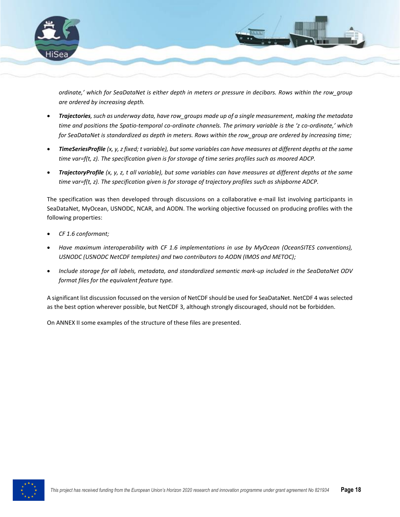

*ordinate,' which for SeaDataNet is either depth in meters or pressure in decibars. Rows within the row\_group are ordered by increasing depth.*

- *Trajectories, such as underway data, have row\_groups made up of a single measurement, making the metadata time and positions the Spatio-temporal co-ordinate channels. The primary variable is the 'z co-ordinate,' which for SeaDataNet is standardized as depth in meters. Rows within the row\_group are ordered by increasing time;*
- *TimeSeriesProfile (x, y, z fixed; t variable), but some variables can have measures at different depths at the same time var=f(t, z). The specification given is for storage of time series profiles such as moored ADCP.*
- *TrajectoryProfile (x, y, z, t all variable), but some variables can have measures at different depths at the same time var=f(t, z). The specification given is for storage of trajectory profiles such as shipborne ADCP.*

The specification was then developed through discussions on a collaborative e-mail list involving participants in SeaDataNet, MyOcean, USNODC, NCAR, and AODN. The working objective focussed on producing profiles with the following properties:

- *CF 1.6 conformant;*
- *Have maximum interoperability with CF 1.6 implementations in use by MyOcean (OceanSITES conventions), USNODC (USNODC NetCDF templates) and two contributors to AODN (IMOS and METOC);*
- *Include storage for all labels, metadata, and standardized semantic mark-up included in the SeaDataNet ODV format files for the equivalent feature type.*

A significant list discussion focussed on the version of NetCDF should be used for SeaDataNet. NetCDF 4 was selected as the best option wherever possible, but NetCDF 3, although strongly discouraged, should not be forbidden.

On ANNEX II some examples of the structure of these files are presented.

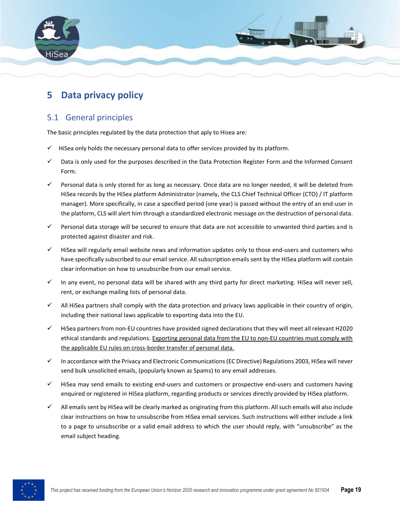

# <span id="page-18-0"></span>**5 Data privacy policy**

#### <span id="page-18-1"></span>5.1 General principles

The basic principles regulated by the data protection that aply to Hisea are:

- HiSea only holds the necessary personal data to offer services provided by its platform.
- Data is only used for the purposes described in the Data Protection Register Form and the Informed Consent Form.
- Personal data is only stored for as long as necessary. Once data are no longer needed, it will be deleted from HiSea records by the HiSea platform Administrator (namely, the CLS Chief Technical Officer (CTO) / IT platform manager). More specifically, in case a specified period (one year) is passed without the entry of an end-user in the platform, CLS will alert him through a standardized electronic message on the destruction of personal data.
- ✓ Personal data storage will be secured to ensure that data are not accessible to unwanted third parties and is protected against disaster and risk.
- ✓ HiSea will regularly email website news and information updates only to those end-users and customers who have specifically subscribed to our email service. All subscription emails sent by the HiSea platform will contain clear information on how to unsubscribe from our email service.
- $\checkmark$  In any event, no personal data will be shared with any third party for direct marketing. HiSea will never sell, rent, or exchange mailing lists of personal data.
- $\checkmark$  All HiSea partners shall comply with the data protection and privacy laws applicable in their country of origin, including their national laws applicable to exporting data into the EU.
- ✓ HiSea partners from non-EU countries have provided signed declarations that they will meet all relevant H2020 ethical standards and regulations. Exporting personal data from the EU to non-EU countries must comply with the applicable EU rules on cross-border transfer of personal data.
- In accordance with the Privacy and Electronic Communications (EC Directive) Regulations 2003, HiSea will never send bulk unsolicited emails, (popularly known as Spams) to any email addresses.
- ✓ HiSea may send emails to existing end-users and customers or prospective end-users and customers having enquired or registered in HiSea platform, regarding products or services directly provided by HiSea platform.
- All emails sent by HiSea will be clearly marked as originating from this platform. All such emails will also include clear instructions on how to unsubscribe from HiSea email services. Such instructions will either include a link to a page to unsubscribe or a valid email address to which the user should reply, with "unsubscribe" as the email subject heading.

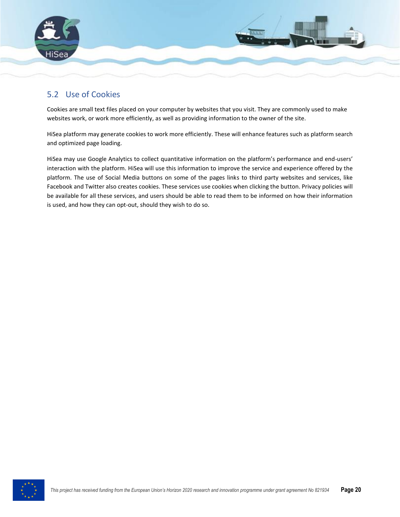

#### <span id="page-19-0"></span>5.2 Use of Cookies

Cookies are small text files placed on your computer by websites that you visit. They are commonly used to make websites work, or work more efficiently, as well as providing information to the owner of the site.

HiSea platform may generate cookies to work more efficiently. These will enhance features such as platform search and optimized page loading.

HiSea may use Google Analytics to collect quantitative information on the platform's performance and end-users' interaction with the platform. HiSea will use this information to improve the service and experience offered by the platform. The use of Social Media buttons on some of the pages links to third party websites and services, like Facebook and Twitter also creates cookies. These services use cookies when clicking the button. Privacy policies will be available for all these services, and users should be able to read them to be informed on how their information is used, and how they can opt-out, should they wish to do so.

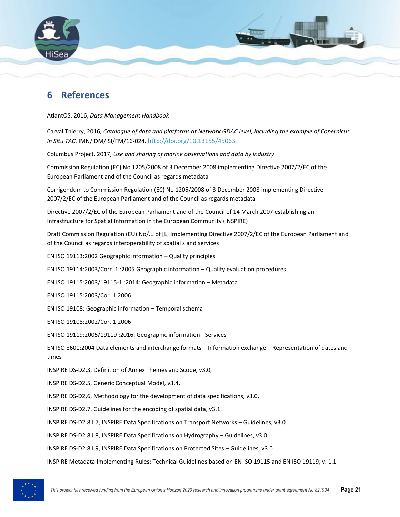

### <span id="page-20-0"></span>**6 References**

AtlantOS, 2016, *Data Management Handbook*

Carval Thierry, 2016, *Catalogue of data and platforms at Network GDAC level, including the example of Copernicus In Situ TAC*. IMN/IDM/ISI/FM/16-024. <http://doi.org/10.13155/45063>

Columbus Project, 2017, *Use and sharing of marine observations and data by industry*

Commission Regulation (EC) No 1205/2008 of 3 December 2008 implementing Directive 2007/2/EC of the European Parliament and of the Council as regards metadata

Corrigendum to Commission Regulation (EC) No 1205/2008 of 3 December 2008 implementing Directive 2007/2/EC of the European Parliament and of the Council as regards metadata

Directive 2007/2/EC of the European Parliament and of the Council of 14 March 2007 establishing an Infrastructure for Spatial Information in the European Community (INSPIRE)

Draft Commission Regulation (EU) No/... of [L] Implementing Directive 2007/2/EC of the European Parliament and of the Council as regards interoperability of spatial s and services

EN ISO 19113:2002 Geographic information – Quality principles

EN ISO 19114:2003/Corr. 1 :2005 Geographic information – Quality evaluation procedures

EN ISO 19115:2003/19115-1 :2014: Geographic information – Metadata

EN ISO 19115:2003/Cor. 1:2006

EN ISO 19108: Geographic information – Temporal schema

EN ISO 19108:2002/Cor. 1:2006

EN ISO 19119:2005/19119 :2016: Geographic information - Services

EN ISO 8601:2004 Data elements and interchange formats – Information exchange – Representation of dates and times

INSPIRE DS-D2.3, Definition of Annex Themes and Scope, v3.0,

INSPIRE DS-D2.5, Generic Conceptual Model, v3.4,

INSPIRE DS-D2.6, Methodology for the development of data specifications, v3.0,

INSPIRE DS-D2.7, Guidelines for the encoding of spatial data, v3.1,

INSPIRE DS-D2.8.I.7, INSPIRE Data Specifications on Transport Networks – Guidelines, v3.0

INSPIRE DS-D2.8.I.8, INSPIRE Data Specifications on Hydrography – Guidelines, v3.0

INSPIRE DS-D2.8.I.9, INSPIRE Data Specifications on Protected Sites – Guidelines, v3.0

INSPIRE Metadata Implementing Rules: Technical Guidelines based on EN ISO 19115 and EN ISO 19119, v. 1.1

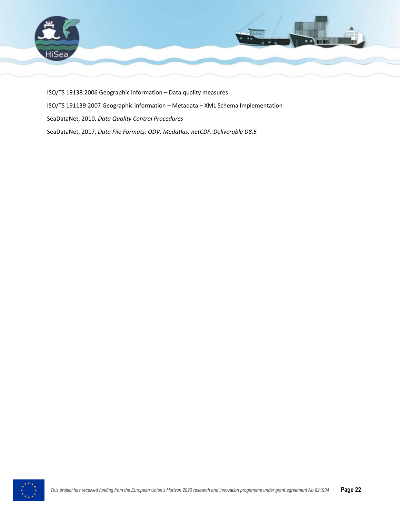

ISO/TS 19138:2006 Geographic information – Data quality measures ISO/TS 191139:2007 Geographic information – Metadata – XML Schema Implementation SeaDataNet, 2010, *Data Quality Control Procedures* SeaDataNet, 2017, *Data File Formats: ODV, Medatlas, netCDF. Deliverable D8.5*

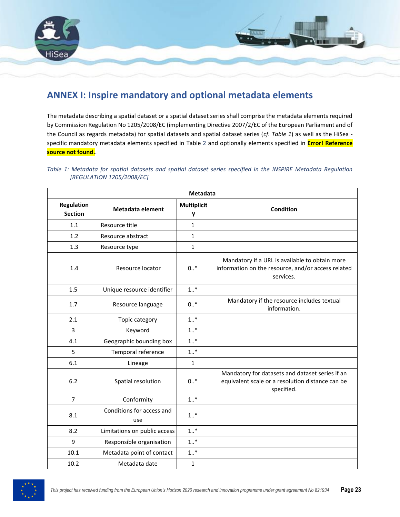

# <span id="page-22-0"></span>**ANNEX I: Inspire mandatory and optional metadata elements**

The metadata describing a spatial dataset or a spatial dataset series shall comprise the metadata elements required by Commission Regulation No 1205/2008/EC (implementing Directive 2007/2/EC of the European Parliament and of the Council as regards metadata) for spatial datasets and spatial dataset series (*cf. [Table 1](#page-22-1)*) as well as the HiSea specific mandatory metadata elements specified in [Table](#page-23-0) 2 and optionally elements specified in **Error! Reference source not found.**.

| Metadata                            |                                  |                         |                                                                                                                   |
|-------------------------------------|----------------------------------|-------------------------|-------------------------------------------------------------------------------------------------------------------|
| <b>Regulation</b><br><b>Section</b> | Metadata element                 | <b>Multiplicit</b><br>y | Condition                                                                                                         |
| 1.1                                 | Resource title                   | $\mathbf{1}$            |                                                                                                                   |
| 1.2                                 | Resource abstract                | $\mathbf{1}$            |                                                                                                                   |
| 1.3                                 | Resource type                    | $\mathbf{1}$            |                                                                                                                   |
| 1.4                                 | Resource locator                 | $0.$ *                  | Mandatory if a URL is available to obtain more<br>information on the resource, and/or access related<br>services. |
| 1.5                                 | Unique resource identifier       | $1.7*$                  |                                                                                                                   |
| 1.7                                 | Resource language                | $0.$ *                  | Mandatory if the resource includes textual<br>information.                                                        |
| 2.1                                 | Topic category                   | $1*$                    |                                                                                                                   |
| 3                                   | Keyword                          | $1*$                    |                                                                                                                   |
| 4.1                                 | Geographic bounding box          | $1.$ *                  |                                                                                                                   |
| 5                                   | Temporal reference               | $1*$                    |                                                                                                                   |
| 6.1                                 | Lineage                          | $\mathbf{1}$            |                                                                                                                   |
| 6.2                                 | Spatial resolution               | $0.$ *                  | Mandatory for datasets and dataset series if an<br>equivalent scale or a resolution distance can be<br>specified. |
| $\overline{7}$                      | Conformity                       | $1.1*$                  |                                                                                                                   |
| 8.1                                 | Conditions for access and<br>use | $1*$                    |                                                                                                                   |
| 8.2                                 | Limitations on public access     | $1*$                    |                                                                                                                   |
| 9                                   | Responsible organisation         | $1.$ *                  |                                                                                                                   |
| 10.1                                | Metadata point of contact        | $1.$ *                  |                                                                                                                   |
| 10.2                                | Metadata date                    | $\mathbf{1}$            |                                                                                                                   |

<span id="page-22-1"></span>*Table 1: Metadata for spatial datasets and spatial dataset series specified in the INSPIRE Metadata Regulation [REGULATION 1205/2008/EC]*

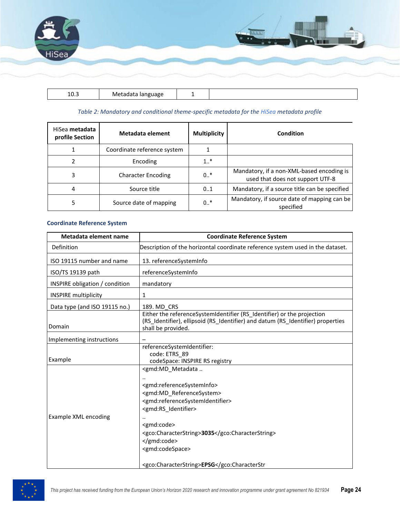

| Table 2: Mandatory and conditional theme-specific metadata for the HiSea metadata profile |  |
|-------------------------------------------------------------------------------------------|--|
|-------------------------------------------------------------------------------------------|--|

<span id="page-23-0"></span>

| HiSea metadata<br>profile Section | Metadata element            | <b>Multiplicity</b> | Condition                                                                     |
|-----------------------------------|-----------------------------|---------------------|-------------------------------------------------------------------------------|
|                                   | Coordinate reference system |                     |                                                                               |
| 2                                 | Encoding                    | $1_{}$ *            |                                                                               |
| 3                                 | <b>Character Encoding</b>   | $0.$ *              | Mandatory, if a non-XML-based encoding is<br>used that does not support UTF-8 |
| 4                                 | Source title                | 01                  | Mandatory, if a source title can be specified                                 |
|                                   | Source date of mapping      | $0.$ *              | Mandatory, if source date of mapping can be<br>specified                      |

#### **Coordinate Reference System**

| Metadata element name          | <b>Coordinate Reference System</b>                                                                                                                                                                                                                                                                                                                                                                                  |  |
|--------------------------------|---------------------------------------------------------------------------------------------------------------------------------------------------------------------------------------------------------------------------------------------------------------------------------------------------------------------------------------------------------------------------------------------------------------------|--|
| Definition                     | Description of the horizontal coordinate reference system used in the dataset.                                                                                                                                                                                                                                                                                                                                      |  |
| ISO 19115 number and name      | 13. referenceSystemInfo                                                                                                                                                                                                                                                                                                                                                                                             |  |
| ISO/TS 19139 path              | referenceSystemInfo                                                                                                                                                                                                                                                                                                                                                                                                 |  |
| INSPIRE obligation / condition | mandatory                                                                                                                                                                                                                                                                                                                                                                                                           |  |
| <b>INSPIRE multiplicity</b>    | 1                                                                                                                                                                                                                                                                                                                                                                                                                   |  |
| Data type (and ISO 19115 no.)  | 189. MD CRS                                                                                                                                                                                                                                                                                                                                                                                                         |  |
| Domain                         | Either the referenceSystemIdentifier (RS_Identifier) or the projection<br>(RS Identifier), ellipsoid (RS Identifier) and datum (RS Identifier) properties<br>shall be provided.                                                                                                                                                                                                                                     |  |
| Implementing instructions      |                                                                                                                                                                                                                                                                                                                                                                                                                     |  |
| Example                        | referenceSystemIdentifier:<br>code: ETRS 89<br>codeSpace: INSPIRE RS registry                                                                                                                                                                                                                                                                                                                                       |  |
| <b>Example XML encoding</b>    | <gmd:md <br="" metadata=""><gmd:referencesysteminfo><br/><gmd:md referencesystem=""><br/><gmd:referencesystemidentifier><br/><gmd:rs identifier=""><br/><gmd:code><br/><gco:characterstring>3035</gco:characterstring><br/></gmd:code><br/><gmd:codespace><br/><gco:characterstring>EPSG</gco:characterstring></gmd:codespace></gmd:rs></gmd:referencesystemidentifier></gmd:md></gmd:referencesysteminfo></gmd:md> |  |

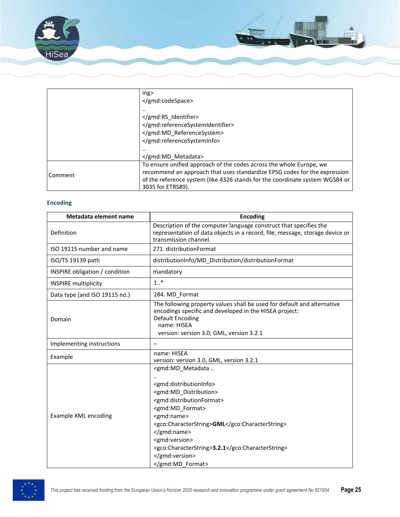

|         | ing>                                                                         |
|---------|------------------------------------------------------------------------------|
|         |                                                                              |
|         | $\cdot$ .                                                                    |
|         |                                                                              |
|         |                                                                              |
|         |                                                                              |
|         |                                                                              |
|         |                                                                              |
|         |                                                                              |
|         | To ensure unified approach of the codes across the whole Europe, we          |
| Comment | recommend an approach that uses standardize EPSG codes for the expression    |
|         | of the reference system (like 4326 stands for the coordinate system WGS84 or |
|         | 3035 for ETRS89).                                                            |

#### **Encoding**

| Metadata element name          | <b>Encoding</b>                                                                                                                                                                                                                                                                                                                                                                                |
|--------------------------------|------------------------------------------------------------------------------------------------------------------------------------------------------------------------------------------------------------------------------------------------------------------------------------------------------------------------------------------------------------------------------------------------|
| Definition                     | Description of the computer language construct that specifies the<br>representation of data objects in a record, file, message, storage device or<br>transmission channel.                                                                                                                                                                                                                     |
| ISO 19115 number and name      | 271. distributionFormat                                                                                                                                                                                                                                                                                                                                                                        |
| ISO/TS 19139 path              | distributionInfo/MD_Distribution/distributionFormat                                                                                                                                                                                                                                                                                                                                            |
| INSPIRE obligation / condition | mandatory                                                                                                                                                                                                                                                                                                                                                                                      |
| <b>INSPIRE multiplicity</b>    | $1.1*$                                                                                                                                                                                                                                                                                                                                                                                         |
| Data type (and ISO 19115 no.)  | 284. MD Format                                                                                                                                                                                                                                                                                                                                                                                 |
| Domain                         | The following property values shall be used for default and alternative<br>encodings specific and developed in the HISEA project:<br>Default Encoding<br>name: HISEA<br>version: version 3.0; GML, version 3.2.1                                                                                                                                                                               |
| Implementing instructions      |                                                                                                                                                                                                                                                                                                                                                                                                |
| Example                        | name: HISEA<br>version: version 3.0, GML, version 3.2.1                                                                                                                                                                                                                                                                                                                                        |
| Example XML encoding           | <gmd:md <br="" metadata=""><gmd:distributioninfo><br/><gmd:md distribution=""><br/><gmd:distributionformat><br/><gmd:md format=""><br/><gmd:name><br/><gco:characterstring>GML</gco:characterstring><br/></gmd:name><br/><gmd:version><br/><gco:characterstring>3.2.1</gco:characterstring><br/></gmd:version><br/></gmd:md></gmd:distributionformat></gmd:md></gmd:distributioninfo></gmd:md> |

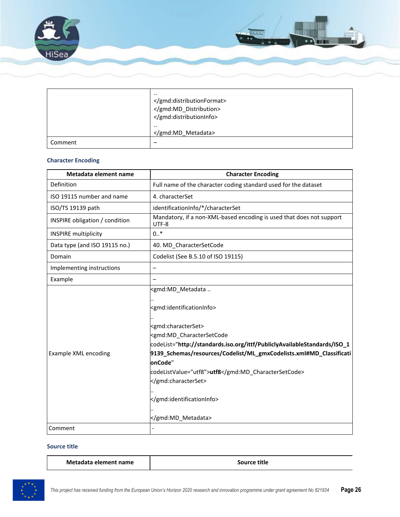

|         | $\cdot$ .<br><br><br> |
|---------|-----------------------|
|         | $\cdot$ .<br>         |
| Comment |                       |

#### **Character Encoding**

| Metadata element name          | <b>Character Encoding</b>                                                                                                                                                                                                                                                                                                                                                                                      |
|--------------------------------|----------------------------------------------------------------------------------------------------------------------------------------------------------------------------------------------------------------------------------------------------------------------------------------------------------------------------------------------------------------------------------------------------------------|
| Definition                     | Full name of the character coding standard used for the dataset                                                                                                                                                                                                                                                                                                                                                |
| ISO 19115 number and name      | 4. characterSet                                                                                                                                                                                                                                                                                                                                                                                                |
| ISO/TS 19139 path              | identificationInfo/*/characterSet                                                                                                                                                                                                                                                                                                                                                                              |
| INSPIRE obligation / condition | Mandatory, if a non-XML-based encoding is used that does not support<br>UTF-8                                                                                                                                                                                                                                                                                                                                  |
| <b>INSPIRE multiplicity</b>    | $0.$ *                                                                                                                                                                                                                                                                                                                                                                                                         |
| Data type (and ISO 19115 no.)  | 40. MD_CharacterSetCode                                                                                                                                                                                                                                                                                                                                                                                        |
| Domain                         | Codelist (See B.5.10 of ISO 19115)                                                                                                                                                                                                                                                                                                                                                                             |
| Implementing instructions      | $\overline{\phantom{0}}$                                                                                                                                                                                                                                                                                                                                                                                       |
| Example                        |                                                                                                                                                                                                                                                                                                                                                                                                                |
| Example XML encoding           | <gmd:md_metadata<br><gmd:identificationinfo><br/><gmd:characterset><br/><gmd:md_charactersetcode<br>codeList="http://standards.iso.org/ittf/PubliclyAvailableStandards/ISO_1<br/>9139_Schemas/resources/Codelist/ML_gmxCodelists.xml#MD_Classificati<br/>onCode"<br/>codeListValue="utf8"&gt;utf8<br/></gmd:md_charactersetcode<br></gmd:characterset><br/></gmd:identificationinfo><br/></gmd:md_metadata<br> |
| Comment                        |                                                                                                                                                                                                                                                                                                                                                                                                                |

#### **Source title**

| Metadata element name | Source title |
|-----------------------|--------------|
|-----------------------|--------------|

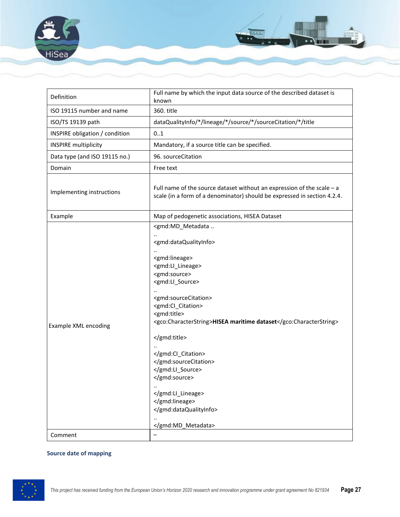

| ISO 19115 number and name<br>360. title<br>dataQualityInfo/*/lineage/*/source/*/sourceCitation/*/title<br>ISO/TS 19139 path<br>INSPIRE obligation / condition<br>01<br>Mandatory, if a source title can be specified.<br><b>INSPIRE multiplicity</b><br>96. sourceCitation<br>Data type (and ISO 19115 no.)<br>Domain<br>Free text<br>Full name of the source dataset without an expression of the scale $-$ a<br>Implementing instructions<br>scale (in a form of a denominator) should be expressed in section 4.2.4.<br>Example<br>Map of pedogenetic associations, HISEA Dataset<br><gmd:md <br="" metadata=""><gmd:dataqualityinfo><br/><gmd:lineage><br/><gmd:ll_lineage><br/><gmd:source><br/><gmd:li_source><br/><gmd:sourcecitation><br/><gmd:cl_citation><br/><gmd:title><br/><gco:characterstring>HISEA maritime dataset</gco:characterstring><br/></gmd:title><br/></gmd:cl_citation><br/></gmd:sourcecitation><br/></gmd:li_source><br/></gmd:source><br/><br/></gmd:ll_lineage></gmd:lineage><br/></gmd:dataqualityinfo><br/></gmd:md> | Definition           | Full name by which the input data source of the described dataset is<br>known |
|------------------------------------------------------------------------------------------------------------------------------------------------------------------------------------------------------------------------------------------------------------------------------------------------------------------------------------------------------------------------------------------------------------------------------------------------------------------------------------------------------------------------------------------------------------------------------------------------------------------------------------------------------------------------------------------------------------------------------------------------------------------------------------------------------------------------------------------------------------------------------------------------------------------------------------------------------------------------------------------------------------------------------------------------------|----------------------|-------------------------------------------------------------------------------|
|                                                                                                                                                                                                                                                                                                                                                                                                                                                                                                                                                                                                                                                                                                                                                                                                                                                                                                                                                                                                                                                      |                      |                                                                               |
|                                                                                                                                                                                                                                                                                                                                                                                                                                                                                                                                                                                                                                                                                                                                                                                                                                                                                                                                                                                                                                                      |                      |                                                                               |
|                                                                                                                                                                                                                                                                                                                                                                                                                                                                                                                                                                                                                                                                                                                                                                                                                                                                                                                                                                                                                                                      |                      |                                                                               |
|                                                                                                                                                                                                                                                                                                                                                                                                                                                                                                                                                                                                                                                                                                                                                                                                                                                                                                                                                                                                                                                      |                      |                                                                               |
|                                                                                                                                                                                                                                                                                                                                                                                                                                                                                                                                                                                                                                                                                                                                                                                                                                                                                                                                                                                                                                                      |                      |                                                                               |
|                                                                                                                                                                                                                                                                                                                                                                                                                                                                                                                                                                                                                                                                                                                                                                                                                                                                                                                                                                                                                                                      |                      |                                                                               |
|                                                                                                                                                                                                                                                                                                                                                                                                                                                                                                                                                                                                                                                                                                                                                                                                                                                                                                                                                                                                                                                      |                      |                                                                               |
|                                                                                                                                                                                                                                                                                                                                                                                                                                                                                                                                                                                                                                                                                                                                                                                                                                                                                                                                                                                                                                                      |                      |                                                                               |
|                                                                                                                                                                                                                                                                                                                                                                                                                                                                                                                                                                                                                                                                                                                                                                                                                                                                                                                                                                                                                                                      | Example XML encoding |                                                                               |
|                                                                                                                                                                                                                                                                                                                                                                                                                                                                                                                                                                                                                                                                                                                                                                                                                                                                                                                                                                                                                                                      | Comment              |                                                                               |

#### **Source date of mapping**

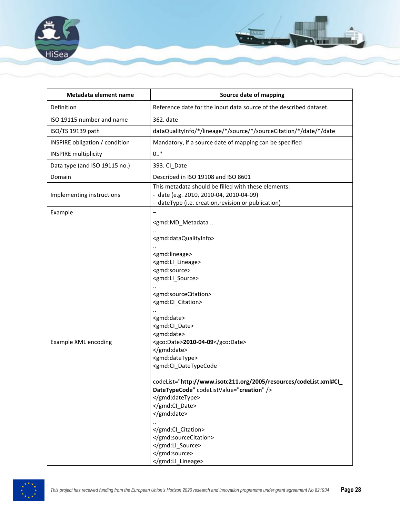

| Metadata element name          | Source date of mapping                                                                                                                                                                                                                                                                                                                                                                                                                                                                                                                                                                                                                                |
|--------------------------------|-------------------------------------------------------------------------------------------------------------------------------------------------------------------------------------------------------------------------------------------------------------------------------------------------------------------------------------------------------------------------------------------------------------------------------------------------------------------------------------------------------------------------------------------------------------------------------------------------------------------------------------------------------|
| Definition                     | Reference date for the input data source of the described dataset.                                                                                                                                                                                                                                                                                                                                                                                                                                                                                                                                                                                    |
| ISO 19115 number and name      | 362. date                                                                                                                                                                                                                                                                                                                                                                                                                                                                                                                                                                                                                                             |
| ISO/TS 19139 path              | dataQualityInfo/*/lineage/*/source/*/sourceCitation/*/date/*/date                                                                                                                                                                                                                                                                                                                                                                                                                                                                                                                                                                                     |
| INSPIRE obligation / condition | Mandatory, if a source date of mapping can be specified                                                                                                                                                                                                                                                                                                                                                                                                                                                                                                                                                                                               |
| <b>INSPIRE multiplicity</b>    | $0.$ *                                                                                                                                                                                                                                                                                                                                                                                                                                                                                                                                                                                                                                                |
| Data type (and ISO 19115 no.)  | 393. CI_Date                                                                                                                                                                                                                                                                                                                                                                                                                                                                                                                                                                                                                                          |
| Domain                         | Described in ISO 19108 and ISO 8601                                                                                                                                                                                                                                                                                                                                                                                                                                                                                                                                                                                                                   |
| Implementing instructions      | This metadata should be filled with these elements:<br>- date (e.g. 2010, 2010-04, 2010-04-09)<br>- dateType (i.e. creation, revision or publication)                                                                                                                                                                                                                                                                                                                                                                                                                                                                                                 |
| Example                        |                                                                                                                                                                                                                                                                                                                                                                                                                                                                                                                                                                                                                                                       |
| Example XML encoding           | <gmd:md_metadata <br=""><gmd:dataqualityinfo><br/><gmd:lineage><br/><gmd:ll lineage=""><br/><gmd:source><br/><gmd:li_source><br/><gmd:sourcecitation><br/><gmd:cl_citation><br/><gmd:date><br/><gmd:cl_date><br/><gmd:date><br/><gco:date>2010-04-09</gco:date><br/></gmd:date><br/><gmd:datetype><br/><gmd:cl_datetypecode<br>codeList="http://www.isotc211.org/2005/resources/codeList.xml#CI_<br/>DateTypeCode" codeListValue="creation" /&gt;</gmd:cl_datetypecode<br></gmd:datetype></gmd:cl_date></gmd:date></gmd:cl_citation></gmd:sourcecitation></gmd:li_source></gmd:source></gmd:ll></gmd:lineage></gmd:dataqualityinfo></gmd:md_metadata> |
|                                | <br><br><br><br><br><br><br>                                                                                                                                                                                                                                                                                                                                                                                                                                                                                                                                                                                                                          |

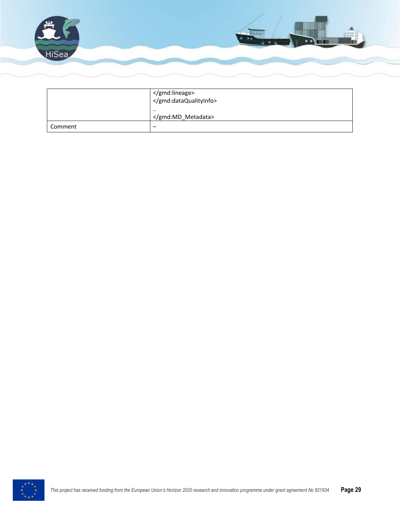

|         | <br>              |
|---------|-------------------|
|         | $\cdot \cdot$<br> |
| Comment | -                 |

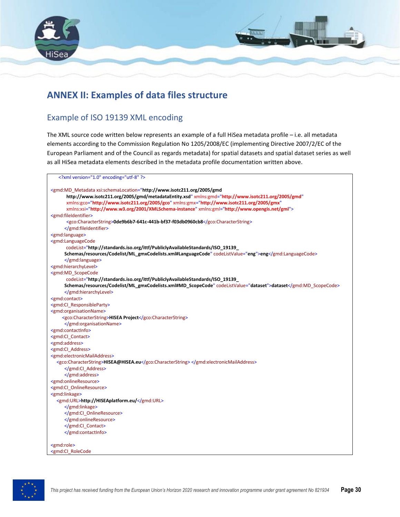

# <span id="page-29-0"></span>**ANNEX II: Examples of data files structure**

#### <span id="page-29-1"></span>Example of ISO 19139 XML encoding

The XML source code written below represents an example of a full HiSea metadata profile – i.e. all metadata elements according to the Commission Regulation No 1205/2008/EC (implementing Directive 2007/2/EC of the European Parliament and of the Council as regards metadata) for spatial datasets and spatial dataset series as well as all HiSea metadata elements described in the metadata profile documentation written above.

| xml version="1.0" encoding="utf-8" ?                                                                                                                                                                                                           |
|------------------------------------------------------------------------------------------------------------------------------------------------------------------------------------------------------------------------------------------------|
|                                                                                                                                                                                                                                                |
| <gmd:md_metadata <="" td="" xmlns:gmd="http://www.isotc211.org/2005/gmd" xsi:schemalocation="http://www.isotc211.org/2005/gmd&lt;/td&gt;&lt;/tr&gt;&lt;tr&gt;&lt;td&gt;http://www.isotc211.org/2005/gmd/metadataEntity.xsd"></gmd:md_metadata> |
| xmlns:gco="http://www.isotc211.org/2005/gco" xmlns:gmx="http://www.isotc211.org/2005/gmx"                                                                                                                                                      |
| xmlns:xsi="http://www.w3.org/2001/XMLSchema-instance" xmlns:gml="http://www.opengis.net/gml">                                                                                                                                                  |
| <gmd:fileidentifier></gmd:fileidentifier>                                                                                                                                                                                                      |
| <gco:characterstring><b>Ode9b6b7-641c-441b-bf37-f03db0960cb8</b></gco:characterstring>                                                                                                                                                         |
|                                                                                                                                                                                                                                                |
| <gmd:language></gmd:language>                                                                                                                                                                                                                  |
| <gmd:languagecode< td=""></gmd:languagecode<>                                                                                                                                                                                                  |
| codeList="http://standards.iso.org/ittf/PubliclyAvailableStandards/ISO_19139_                                                                                                                                                                  |
| Schemas/resources/Codelist/ML_gmxCodelists.xml#LanguageCode" codeListValue="eng">eng                                                                                                                                                           |
|                                                                                                                                                                                                                                                |
| <gmd:hierarchylevel></gmd:hierarchylevel>                                                                                                                                                                                                      |
| <gmd:md scopecode<="" td=""></gmd:md>                                                                                                                                                                                                          |
| codeList="http://standards.iso.org/ittf/PubliclyAvailableStandards/ISO_19139_                                                                                                                                                                  |
| Schemas/resources/Codelist/ML gmxCodelists.xml#MD ScopeCode" codeListValue="dataset">dataset                                                                                                                                                   |
|                                                                                                                                                                                                                                                |
| <gmd:contact></gmd:contact>                                                                                                                                                                                                                    |
| <gmd:cl_responsibleparty></gmd:cl_responsibleparty>                                                                                                                                                                                            |
| <gmd:organisationname></gmd:organisationname>                                                                                                                                                                                                  |
| <gco:characterstring>HISEA Project</gco:characterstring>                                                                                                                                                                                       |
|                                                                                                                                                                                                                                                |
| <gmd:contactinfo></gmd:contactinfo>                                                                                                                                                                                                            |
| <gmd:cl contact=""></gmd:cl>                                                                                                                                                                                                                   |
| <gmd:address></gmd:address>                                                                                                                                                                                                                    |
| <gmd:cl address=""></gmd:cl>                                                                                                                                                                                                                   |
| <gmd:electronicmailaddress></gmd:electronicmailaddress>                                                                                                                                                                                        |
| <gco:characterstring>HISEA@HISEA.eu</gco:characterstring>                                                                                                                                                                                      |
|                                                                                                                                                                                                                                                |
|                                                                                                                                                                                                                                                |
| <gmd:onlineresource></gmd:onlineresource>                                                                                                                                                                                                      |
| <gmd:cl_onlineresource></gmd:cl_onlineresource>                                                                                                                                                                                                |
| <gmd:linkage></gmd:linkage>                                                                                                                                                                                                                    |
| <gmd:url>http://HISEAplatform.eu/</gmd:url>                                                                                                                                                                                                    |
| $\langle$ gmd:linkage>                                                                                                                                                                                                                         |
|                                                                                                                                                                                                                                                |
|                                                                                                                                                                                                                                                |
|                                                                                                                                                                                                                                                |
|                                                                                                                                                                                                                                                |
|                                                                                                                                                                                                                                                |
| <gmd:role></gmd:role>                                                                                                                                                                                                                          |
| <gmd:cl rolecode<="" td=""></gmd:cl>                                                                                                                                                                                                           |

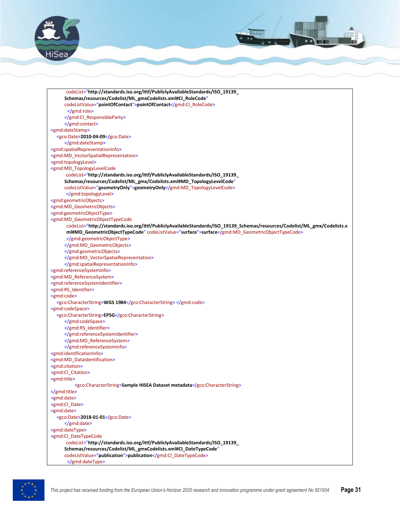



codeList="**http://standards.iso.org/ittf/PubliclyAvailableStandards/ISO\_19139\_ Schemas/resources/Codelist/ML\_gmxCodelists.xml#CI\_RoleCode**" codeListValue="**pointOfContact**">**pointOfContact**</gmd:CI\_RoleCode> </gmd:role> </gmd:CI\_ResponsibleParty> </gmd:contact> <gmd:dateStamp> <gco:Date>**2010-04-09**</gco:Date> </gmd:dateStamp> <gmd:spatialRepresentationInfo> <gmd:MD\_VectorSpatialRepresentation> <gmd:topologyLevel> <gmd:MD\_TopologyLevelCode codeList="**http://standards.iso.org/ittf/PubliclyAvailableStandards/ISO\_19139\_ Schemas/resources/Codelist/ML\_gmx/Codelists.xml#MD\_TopologyLevelCode**" codeListValue="**geometryOnly**">**geometryOnly**</gmd:MD\_TopologyLevelCode> </gmd:topologyLevel> <gmd:geometricObjects> <gmd:MD\_GeometricObjects> <gmd:geometricObjectType> <gmd:MD\_GeometricObjectTypeCode codeList="**http://standards.iso.org/ittf/PubliclyAvailableStandards/ISO\_19139\_Schemas/resources/Codelist/ML\_gmx/Codelists.x ml#MD\_GeometricObjectTypeCode**" codeListValue="**surface**">**surface**</gmd:MD\_GeometricObjectTypeCode> </gmd:geometricObjectType> </gmd:MD\_GeometricObjects> </gmd:geometricObjects> </gmd:MD\_VectorSpatialRepresentation> </gmd:spatialRepresentationInfo> <gmd:referenceSystemInfo> <gmd:MD\_ReferenceSystem> <gmd:referenceSystemIdentifier> <gmd:RS\_Identifier> <gmd:code> <gco:CharacterString>**WGS 1984**</gco:CharacterString> </gmd:code> <gmd:codeSpace> <gco:CharacterString>**EPSG**</gco:CharacterString> </gmd:codeSpace> </gmd:RS\_Identifier> </gmd:referenceSystemIdentifier> </gmd:MD\_ReferenceSystem> </gmd:referenceSystemInfo> <gmd:identificationInfo> <gmd:MD\_DataIdentification> <gmd:citation> <gmd:CI\_Citation> <gmd:title> <gco:CharacterString>**Sample HISEA Dataset metadata**</gco:CharacterString> </gmd:title> <gmd:date> <gmd:CI\_Date> <gmd:date> <gco:Date>**2018-01-01**</gco:Date> </gmd:date> <gmd:dateType> <gmd:CI\_DateTypeCode codeList="**http://standards.iso.org/ittf/PubliclyAvailableStandards/ISO\_19139\_ Schemas/resources/Codelist/ML\_gmxCodelists.xml#CI\_DateTypeCode**" codeListValue="**publication**">**publication**</gmd:CI\_DateTypeCode> </gmd:dateType>

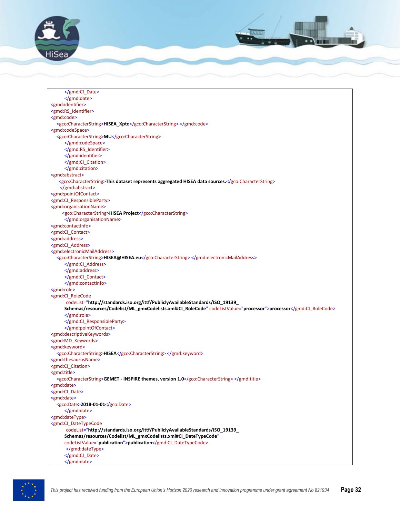



| $\le$ /gmd:date>                                                                                  |
|---------------------------------------------------------------------------------------------------|
| <gmd:identifier></gmd:identifier>                                                                 |
| <gmd:rs_identifier></gmd:rs_identifier>                                                           |
| <gmd:code></gmd:code>                                                                             |
| <gco:characterstring>HISEA_Xpto</gco:characterstring>                                             |
| <gmd:codespace></gmd:codespace>                                                                   |
| <gco:characterstring>MU</gco:characterstring>                                                     |
|                                                                                                   |
|                                                                                                   |
|                                                                                                   |
|                                                                                                   |
| $\frac{2}{\text{gmd:citation}}$                                                                   |
|                                                                                                   |
| <gmd:abstract></gmd:abstract>                                                                     |
| <gco:characterstring>This dataset represents aggregated HISEA data sources.</gco:characterstring> |
| $\frac{2}{\text{gmd:abstract}}$                                                                   |
| <gmd:pointofcontact></gmd:pointofcontact>                                                         |
| <gmd:cl_responsibleparty></gmd:cl_responsibleparty>                                               |
| <gmd:organisationname></gmd:organisationname>                                                     |
| <gco:characterstring>HISEA Project</gco:characterstring>                                          |
|                                                                                                   |
| <gmd:contactinfo></gmd:contactinfo>                                                               |
| <gmd:cl_contact></gmd:cl_contact>                                                                 |
| <gmd:address></gmd:address>                                                                       |
| <gmd:cl_address></gmd:cl_address>                                                                 |
| <gmd:electronicmailaddress></gmd:electronicmailaddress>                                           |
| <gco:characterstring>HISEA@HISEA.eu</gco:characterstring>                                         |
|                                                                                                   |
|                                                                                                   |
|                                                                                                   |
|                                                                                                   |
| <gmd:role></gmd:role>                                                                             |
| <gmd:cl_rolecode< td=""></gmd:cl_rolecode<>                                                       |
| codeList="http://standards.iso.org/ittf/PubliclyAvailableStandards/ISO_19139_                     |
| Schemas/resources/Codelist/ML_gmxCodelists.xml#Cl_RoleCode" codeListValue="processor">processor   |
| $<$ /gmd:role>                                                                                    |
|                                                                                                   |
|                                                                                                   |
| <gmd:descriptivekeywords></gmd:descriptivekeywords>                                               |
| <gmd:md_keywords></gmd:md_keywords>                                                               |
| <gmd:keyword></gmd:keyword>                                                                       |
| <gco:characterstring>HISEA</gco:characterstring>                                                  |
| <gmd:thesaurusname></gmd:thesaurusname>                                                           |
| <gmd:cl_citation></gmd:cl_citation>                                                               |
| <gmd:title></gmd:title>                                                                           |
| <gco:characterstring>GEMET - INSPIRE themes, version 1.0</gco:characterstring>                    |
| <gmd:date></gmd:date>                                                                             |
| <gmd:cl date=""></gmd:cl>                                                                         |
| <gmd:date></gmd:date>                                                                             |
| <gco:date>2018-01-01</gco:date>                                                                   |
| $\le$ /gmd:date>                                                                                  |
| <gmd:datetype></gmd:datetype>                                                                     |
| <gmd:cl_datetypecode< td=""></gmd:cl_datetypecode<>                                               |
| codeList="http://standards.iso.org/ittf/PubliclyAvailableStandards/ISO 19139                      |
| Schemas/resources/Codelist/ML_gmxCodelists.xml#Cl_DateTypeCode"                                   |
| codeListValue="publication">publication                                                           |
|                                                                                                   |
|                                                                                                   |
|                                                                                                   |

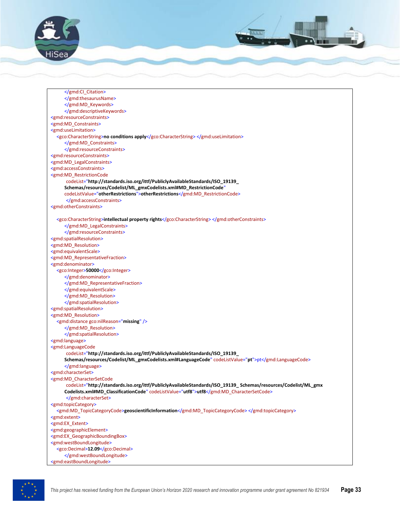

</gmd:CI\_Citation> </gmd:thesaurusName> </gmd:MD\_Keywords> </gmd:descriptiveKeywords> <gmd:resourceConstraints> <gmd:MD\_Constraints> <gmd:useLimitation> <gco:CharacterString>**no conditions apply**</gco:CharacterString> </gmd:useLimitation> </gmd:MD\_Constraints> </gmd:resourceConstraints> <gmd:resourceConstraints> <gmd:MD\_LegalConstraints> <gmd:accessConstraints> <gmd:MD\_RestrictionCode codeList="**http://standards.iso.org/ittf/PubliclyAvailableStandards/ISO\_19139\_ Schemas/resources/Codelist/ML\_gmxCodelists.xml#MD\_RestrictionCode**" codeListValue="**otherRestrictions**">**otherRestrictions**</gmd:MD\_RestrictionCode> </gmd:accessConstraints> <gmd:otherConstraints> <gco:CharacterString>**intellectual property rights**</gco:CharacterString> </gmd:otherConstraints> </gmd:MD\_LegalConstraints> </gmd:resourceConstraints> <gmd:spatialResolution> <gmd:MD\_Resolution> <gmd:equivalentScale> <gmd:MD\_RepresentativeFraction> <gmd:denominator> <gco:Integer>**50000**</gco:Integer> </gmd:denominator> </gmd:MD\_RepresentativeFraction> </gmd:equivalentScale> </gmd:MD\_Resolution> </gmd:spatialResolution> <gmd:spatialResolution> <gmd:MD\_Resolution> <gmd:distance gco:nilReason="**missing**" /> </gmd:MD\_Resolution> </gmd:spatialResolution> <gmd:language> <gmd:LanguageCode codeList="**http://standards.iso.org/ittf/PubliclyAvailableStandards/ISO\_19139\_ Schemas/resources/Codelist/ML\_gmxCodelists.xml#LanguageCode**" codeListValue="**pt**">pt</gmd:LanguageCode> </gmd:language> <gmd:characterSet> <gmd:MD\_CharacterSetCode codeList="**http://standards.iso.org/ittf/PubliclyAvailableStandards/ISO\_19139\_ Schemas/resources/Codelist/ML\_gmx Codelists.xml#MD\_ClassificationCode**" codeListValue="**utf8**">**utf8**</gmd:MD\_CharacterSetCode> </gmd:characterSet> <gmd:topicCategory> <gmd:MD\_TopicCategoryCode>**geoscientificInformation**</gmd:MD\_TopicCategoryCode> </gmd:topicCategory> <gmd:extent> <gmd:EX\_Extent> <gmd:geographicElement> <gmd:EX\_GeographicBoundingBox> <gmd:westBoundLongitude> <gco:Decimal>**12.09**</gco:Decimal> </gmd:westBoundLongitude> <gmd:eastBoundLongitude>

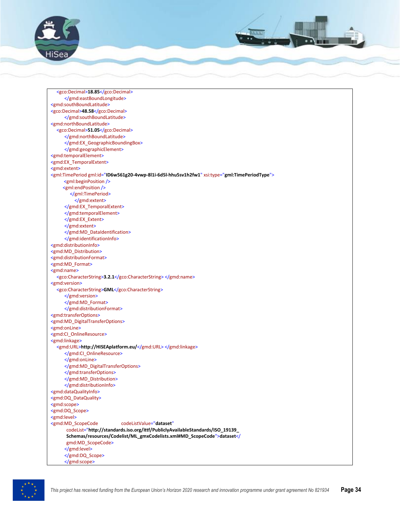



<gco:Decimal>**18.85**</gco:Decimal> </gmd:eastBoundLongitude> <gmd:southBoundLatitude> <gco:Decimal>**48.58**</gco:Decimal> </gmd:southBoundLatitude> <gmd:northBoundLatitude> <gco:Decimal>**51.05**</gco:Decimal> </gmd:northBoundLatitude> </gmd:EX\_GeographicBoundingBox> </gmd:geographicElement> <gmd:temporalElement> <gmd:EX\_TemporalExtent> <gmd:extent> <gml:TimePeriod gml:id="**ID6w561g20-4vwp-8l1i-6d5l-hhu5sv1h2fw1**" xsi:type="**gml:TimePeriodType**"> <gml:beginPosition /> <gml:endPosition /> </gml:TimePeriod> </gmd:extent> </gmd:EX\_TemporalExtent> </gmd:temporalElement> </gmd:EX\_Extent> </gmd:extent> </gmd:MD\_DataIdentification> </gmd:identificationInfo> <gmd:distributionInfo> <gmd:MD\_Distribution> <gmd:distributionFormat> <gmd:MD\_Format> <gmd:name> <gco:CharacterString>**3.2.1**</gco:CharacterString> </gmd:name> <gmd:version> <gco:CharacterString>**GML**</gco:CharacterString> </gmd:version> </gmd:MD\_Format> </gmd:distributionFormat> <gmd:transferOptions> <gmd:MD\_DigitalTransferOptions> <gmd:onLine> <gmd:CI\_OnlineResource> <gmd:linkage> <gmd:URL>**http://HISEAplatform.eu/**</gmd:URL> </gmd:linkage> </gmd:CI\_OnlineResource> </gmd:onLine> </gmd:MD\_DigitalTransferOptions> </gmd:transferOptions> </gmd:MD\_Distribution> </gmd:distributionInfo> <gmd:dataQualityInfo> <gmd:DQ\_DataQuality> <gmd:scope> <gmd:DQ\_Scope> <gmd:level> <gmd:MD\_ScopeCode codeListValue="**dataset**" codeList="**http://standards.iso.org/ittf/PubliclyAvailableStandards/ISO\_19139\_ Schemas/resources/Codelist/ML\_gmxCodelists.xml#MD\_ScopeCode**">**dataset**</ gmd:MD\_ScopeCode> </gmd:level> </gmd:DQ\_Scope> </gmd:scope>

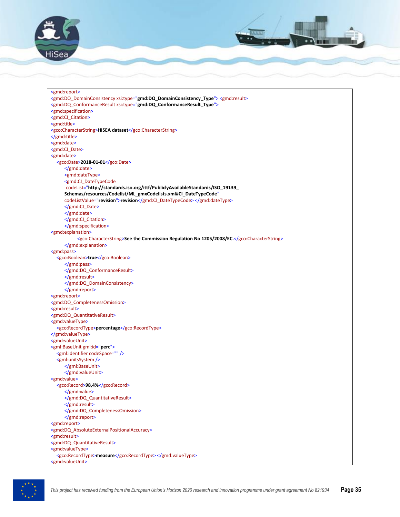



<gmd:report> <gmd:DQ\_DomainConsistency xsi:type="**gmd:DQ\_DomainConsistency\_Type**"> <gmd:result> <gmd:DQ\_ConformanceResult xsi:type="**gmd:DQ\_ConformanceResult\_Type**"> <gmd:specification> <gmd:CI\_Citation> <gmd:title> <gco:CharacterString>**HISEA dataset**</gco:CharacterString> </gmd:title> <gmd:date> <gmd:CI\_Date> <gmd:date> <gco:Date>**2018-01-01**</gco:Date> </gmd:date> <gmd:dateType> <gmd:CI\_DateTypeCode codeList="**http://standards.iso.org/ittf/PubliclyAvailableStandards/ISO\_19139\_ Schemas/resources/Codelist/ML\_gmxCodelists.xml#CI\_DateTypeCode**" codeListValue="**revision**">**revision**</gmd:CI\_DateTypeCode> </gmd:dateType> </gmd:CI\_Date> </gmd:date> </gmd:CI\_Citation> </gmd:specification> <gmd:explanation> <gco:CharacterString>**See the Commission Regulation No 1205/2008/EC.**</gco:CharacterString> </gmd:explanation> <gmd:pass> <gco:Boolean>**true**</gco:Boolean> </gmd:pass> </gmd:DQ\_ConformanceResult> </gmd:result> </gmd:DQ\_DomainConsistency> </gmd:report> <gmd:report> <gmd:DQ\_CompletenessOmission> <gmd:result> <gmd:DQ\_QuantitativeResult> <gmd:valueType> <gco:RecordType>**percentage**</gco:RecordType> </gmd:valueType> <gmd:valueUnit> <gml:BaseUnit gml:id="**perc**"> <gml:identifier codeSpace="" /> <gml:unitsSystem /> </gml:BaseUnit> </gmd:valueUnit> <gmd:value> <gco:Record>**98,4%**</gco:Record> </gmd:value> </gmd:DQ\_QuantitativeResult> </gmd:result> </gmd:DQ\_CompletenessOmission> </gmd:report> <gmd:report> <gmd:DQ\_AbsoluteExternalPositionalAccuracy> <gmd:result> <gmd:DQ\_QuantitativeResult> <gmd:valueType> <gco:RecordType>**measure**</gco:RecordType> </gmd:valueType> <gmd:valueUnit>

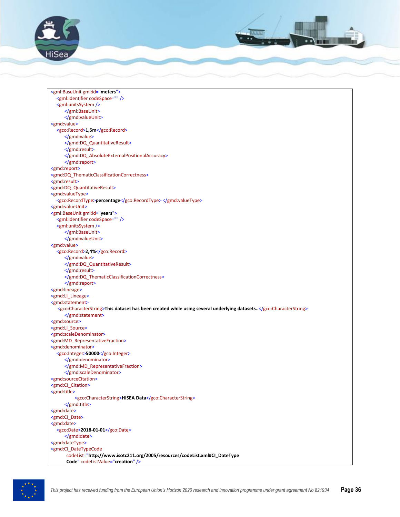



<gml:BaseUnit gml:id="**meters**"> <gml:identifier codeSpace="" /> <gml:unitsSystem /> </gml:BaseUnit> </gmd:valueUnit> <gmd:value> <gco:Record>**1,5m**</gco:Record> </gmd:value> </gmd:DQ\_QuantitativeResult> </gmd:result> </gmd:DQ\_AbsoluteExternalPositionalAccuracy> </gmd:report> <gmd:report> <gmd:DQ\_ThematicClassificationCorrectness> <gmd:result> <gmd:DQ\_QuantitativeResult> <gmd:valueType> <gco:RecordType>**percentage**</gco:RecordType> </gmd:valueType> <gmd:valueUnit> <gml:BaseUnit gml:id="**years**"> <gml:identifier codeSpace="" /> <gml:unitsSystem /> </gml:BaseUnit> </gmd:valueUnit> <gmd:value> <gco:Record>**2,4%**</gco:Record> </gmd:value> </gmd:DQ\_QuantitativeResult> </gmd:result> </gmd:DQ\_ThematicClassificationCorrectness> </gmd:report> <gmd:lineage> <gmd:LI\_Lineage> <gmd:statement> <gco:CharacterString>**This dataset has been created while using several underlying datasets..**</gco:CharacterString> </gmd:statement> <gmd:source> <gmd:LI\_Source> <gmd:scaleDenominator> <gmd:MD\_RepresentativeFraction> <gmd:denominator> <gco:Integer>**50000**</gco:Integer> </gmd:denominator> </gmd:MD\_RepresentativeFraction> </gmd:scaleDenominator> <gmd:sourceCitation> <gmd:CI\_Citation> <gmd:title> <gco:CharacterString>**HISEA Data**</gco:CharacterString> </gmd:title> <gmd:date> <gmd:CI\_Date> <gmd:date> <gco:Date>**2018-01-01**</gco:Date> </gmd:date> <gmd:dateType> <gmd:CI\_DateTypeCode codeList="**http://www.isotc211.org/2005/resources/codeList.xml#CI\_DateType Code**" codeListValue="**creation**" />

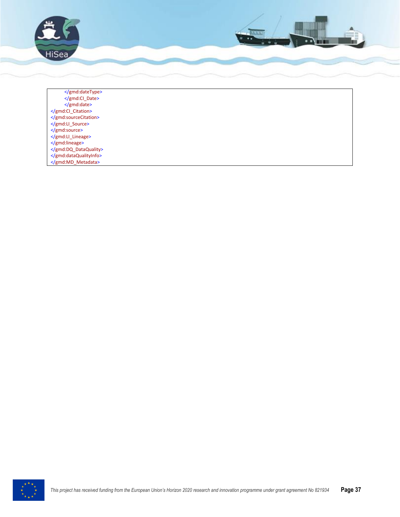

</gmd:dateType> </gmd:CI\_Date> </gmd:date> </gmd:CI\_Citation> </gmd:sourceCitation> </gmd:LI\_Source> </gmd:source> </gmd:LI\_Lineage> </gmd:lineage> </gmd:DQ\_DataQuality> </gmd:dataQualityInfo> </gmd:MD\_Metadata>

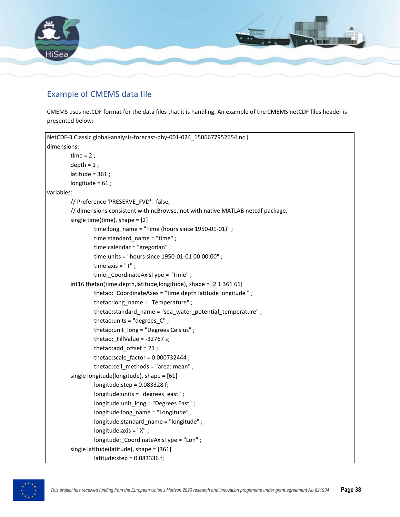

#### <span id="page-37-0"></span>Example of CMEMS data file

CMEMS uses netCDF format for the data files that it is handling. An example of the CMEMS netCDF files header is presented below:

```
NetCDF-3 Classic global-analysis-forecast-phy-001-024_1506677952654.nc {
dimensions:
        time = 2 ;
        depth = 1;latitude = 361;
        longitude = 61 ;
variables:
        // Preference 'PRESERVE_FVD': false,
        // dimensions consistent with ncBrowse, not with native MATLAB netcdf package.
        single time(time), shape = [2]
                 time:long_name = "Time (hours since 1950-01-01)" ;
                 time:standard_name = "time" ;
                 time:calendar = "gregorian" ;
                 time:units = "hours since 1950-01-01 00:00:00" ;
                 time:axis = "T" ;
                 time:_CoordinateAxisType = "Time" ;
        int16 thetao(time,depth,latitude,longitude), shape = [2 1 361 61]
                 thetao: CoordinateAxes = "time depth latitude longitude ";
                 thetao:long_name = "Temperature" ;
                 thetao:standard_name = "sea_water_potential_temperature" ;
                 thetao: units = "degreesC" ;
                 thetao:unit_long = "Degrees Celsius" ;
                 thetao: FillValue = -32767 s;
                 thetao:add_offset = 21 ;
                 thetao:scale factor = 0.000732444 ;
                 thetao:cell_methods = "area: mean" ;
        single longitude(longitude), shape = [61]
                 longitude:step = 0.083328 f;
                 longitude: units = "degrees_east" ;
                 longitude:unit_long = "Degrees East" ;
                 longitude:long_name = "Longitude" ;
                 longitude: standard name = "longitude" ;
                 longitude:axis = "X" ;
                 longitude:_CoordinateAxisType = "Lon" ;
        single latitude(latitude), shape = [361]
                 latitude:step = 0.083336 f;
```
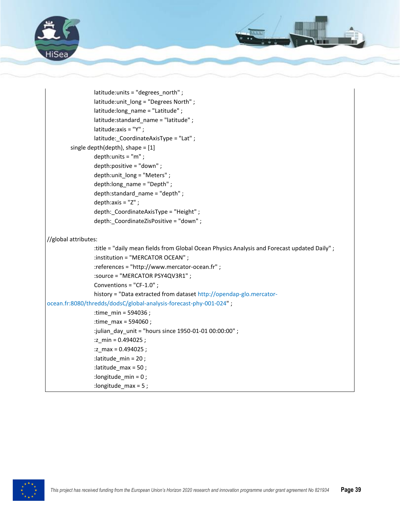



| latitude: units = "degrees_north";                                                           |
|----------------------------------------------------------------------------------------------|
| latitude: unit_long = "Degrees North";                                                       |
| latitude: long name = "Latitude";                                                            |
| latitude:standard_name = "latitude";                                                         |
| $lattice: axis = "Y" ;$                                                                      |
| latitude: CoordinateAxisType = "Lat";                                                        |
| single depth(depth), shape = $[1]$                                                           |
| $depth: units = "m"$ ;                                                                       |
| depth:positive = "down";                                                                     |
| depth:unit_long = "Meters";                                                                  |
| depth:long_name = "Depth";                                                                   |
| depth:standard_name = "depth";                                                               |
| $depth: axis = "Z" ;$                                                                        |
| depth:_CoordinateAxisType = "Height";                                                        |
| depth:_CoordinateZisPositive = "down";                                                       |
| //global attributes:                                                                         |
| : title = "daily mean fields from Global Ocean Physics Analysis and Forecast updated Daily"; |
| :institution = "MERCATOR OCEAN" ;                                                            |
| : references = "http://www.mercator-ocean.fr" ;                                              |
| :source = "MERCATOR PSY4QV3R1";                                                              |
| Conventions = "CF-1.0";                                                                      |
| history = "Data extracted from dataset http://opendap-glo.mercator-                          |
| ocean.fr:8080/thredds/dodsC/global-analysis-forecast-phy-001-024";                           |
| :time min = 594036 ;                                                                         |
| :time $max = 594060$ ;                                                                       |
| :julian_day_unit = "hours since 1950-01-01 00:00:00";                                        |
| $:z_{min} = 0.494025;$                                                                       |
| $:z_{max} = 0.494025;$                                                                       |
| : latitude $min = 20$ ;                                                                      |
| : latitude_max = $50$ ;                                                                      |
|                                                                                              |
|                                                                                              |
| : longitude $min = 0$ ;<br>: longitude max = $5$ ;                                           |

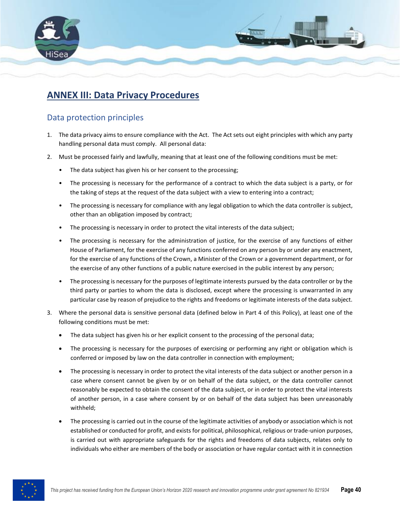

# <span id="page-39-0"></span>**ANNEX III: Data Privacy Procedures**

#### <span id="page-39-1"></span>Data protection principles

- 1. The data privacy aims to ensure compliance with the Act. The Act sets out eight principles with which any party handling personal data must comply. All personal data:
- 2. Must be processed fairly and lawfully, meaning that at least one of the following conditions must be met:
	- The data subject has given his or her consent to the processing;
	- The processing is necessary for the performance of a contract to which the data subject is a party, or for the taking of steps at the request of the data subject with a view to entering into a contract;
	- The processing is necessary for compliance with any legal obligation to which the data controller is subject, other than an obligation imposed by contract;
	- The processing is necessary in order to protect the vital interests of the data subject;
	- The processing is necessary for the administration of justice, for the exercise of any functions of either House of Parliament, for the exercise of any functions conferred on any person by or under any enactment, for the exercise of any functions of the Crown, a Minister of the Crown or a government department, or for the exercise of any other functions of a public nature exercised in the public interest by any person;
	- The processing is necessary for the purposes of legitimate interests pursued by the data controller or by the third party or parties to whom the data is disclosed, except where the processing is unwarranted in any particular case by reason of prejudice to the rights and freedoms or legitimate interests of the data subject.
- 3. Where the personal data is sensitive personal data (defined below in Part 4 of this Policy), at least one of the following conditions must be met:
	- The data subject has given his or her explicit consent to the processing of the personal data;
	- The processing is necessary for the purposes of exercising or performing any right or obligation which is conferred or imposed by law on the data controller in connection with employment;
	- The processing is necessary in order to protect the vital interests of the data subject or another person in a case where consent cannot be given by or on behalf of the data subject, or the data controller cannot reasonably be expected to obtain the consent of the data subject, or in order to protect the vital interests of another person, in a case where consent by or on behalf of the data subject has been unreasonably withheld;
	- The processing is carried out in the course of the legitimate activities of anybody or association which is not established or conducted for profit, and exists for political, philosophical, religious or trade-union purposes, is carried out with appropriate safeguards for the rights and freedoms of data subjects, relates only to individuals who either are members of the body or association or have regular contact with it in connection

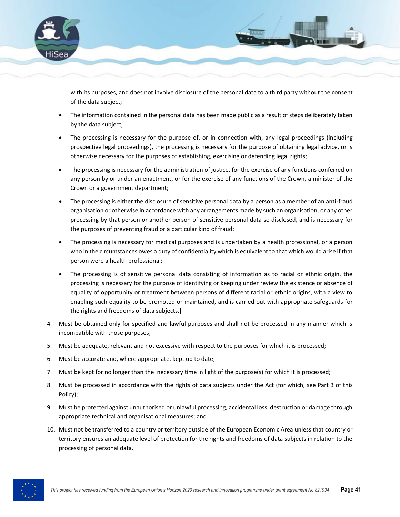

with its purposes, and does not involve disclosure of the personal data to a third party without the consent of the data subject;

- The information contained in the personal data has been made public as a result of steps deliberately taken by the data subject;
- The processing is necessary for the purpose of, or in connection with, any legal proceedings (including prospective legal proceedings), the processing is necessary for the purpose of obtaining legal advice, or is otherwise necessary for the purposes of establishing, exercising or defending legal rights;
- The processing is necessary for the administration of justice, for the exercise of any functions conferred on any person by or under an enactment, or for the exercise of any functions of the Crown, a minister of the Crown or a government department;
- The processing is either the disclosure of sensitive personal data by a person as a member of an anti-fraud organisation or otherwise in accordance with any arrangements made by such an organisation, or any other processing by that person or another person of sensitive personal data so disclosed, and is necessary for the purposes of preventing fraud or a particular kind of fraud;
- The processing is necessary for medical purposes and is undertaken by a health professional, or a person who in the circumstances owes a duty of confidentiality which is equivalent to that which would arise if that person were a health professional;
- The processing is of sensitive personal data consisting of information as to racial or ethnic origin, the processing is necessary for the purpose of identifying or keeping under review the existence or absence of equality of opportunity or treatment between persons of different racial or ethnic origins, with a view to enabling such equality to be promoted or maintained, and is carried out with appropriate safeguards for the rights and freedoms of data subjects.]
- 4. Must be obtained only for specified and lawful purposes and shall not be processed in any manner which is incompatible with those purposes;
- 5. Must be adequate, relevant and not excessive with respect to the purposes for which it is processed;
- 6. Must be accurate and, where appropriate, kept up to date;
- 7. Must be kept for no longer than the necessary time in light of the purpose(s) for which it is processed;
- 8. Must be processed in accordance with the rights of data subjects under the Act (for which, see Part 3 of this Policy);
- 9. Must be protected against unauthorised or unlawful processing, accidental loss, destruction or damage through appropriate technical and organisational measures; and
- 10. Must not be transferred to a country or territory outside of the European Economic Area unless that country or territory ensures an adequate level of protection for the rights and freedoms of data subjects in relation to the processing of personal data.

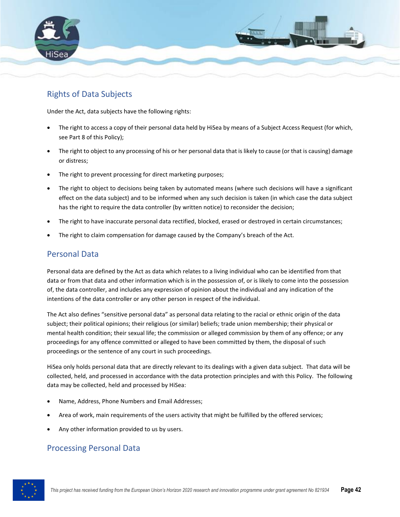

#### <span id="page-41-0"></span>Rights of Data Subjects

Under the Act, data subjects have the following rights:

- The right to access a copy of their personal data held by HiSea by means of a Subject Access Request (for which, see Part 8 of this Policy);
- The right to object to any processing of his or her personal data that is likely to cause (or that is causing) damage or distress;
- The right to prevent processing for direct marketing purposes;
- The right to object to decisions being taken by automated means (where such decisions will have a significant effect on the data subject) and to be informed when any such decision is taken (in which case the data subject has the right to require the data controller (by written notice) to reconsider the decision;
- The right to have inaccurate personal data rectified, blocked, erased or destroyed in certain circumstances;
- The right to claim compensation for damage caused by the Company's breach of the Act.

#### <span id="page-41-1"></span>Personal Data

Personal data are defined by the Act as data which relates to a living individual who can be identified from that data or from that data and other information which is in the possession of, or is likely to come into the possession of, the data controller, and includes any expression of opinion about the individual and any indication of the intentions of the data controller or any other person in respect of the individual.

The Act also defines "sensitive personal data" as personal data relating to the racial or ethnic origin of the data subject; their political opinions; their religious (or similar) beliefs; trade union membership; their physical or mental health condition; their sexual life; the commission or alleged commission by them of any offence; or any proceedings for any offence committed or alleged to have been committed by them, the disposal of such proceedings or the sentence of any court in such proceedings.

HiSea only holds personal data that are directly relevant to its dealings with a given data subject. That data will be collected, held, and processed in accordance with the data protection principles and with this Policy. The following data may be collected, held and processed by HiSea:

- Name, Address, Phone Numbers and Email Addresses;
- Area of work, main requirements of the users activity that might be fulfilled by the offered services;
- Any other information provided to us by users.

#### <span id="page-41-2"></span>Processing Personal Data

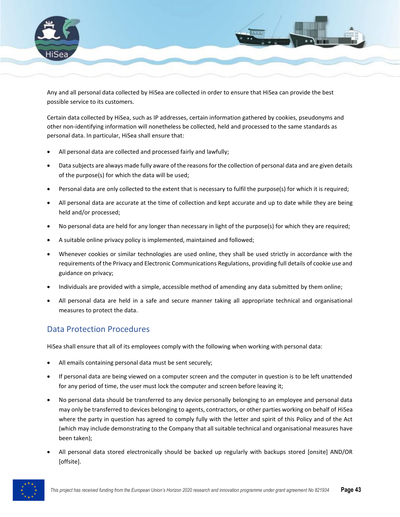

Any and all personal data collected by HiSea are collected in order to ensure that HiSea can provide the best possible service to its customers.

Certain data collected by HiSea, such as IP addresses, certain information gathered by cookies, pseudonyms and other non-identifying information will nonetheless be collected, held and processed to the same standards as personal data. In particular, HiSea shall ensure that:

- All personal data are collected and processed fairly and lawfully;
- Data subjects are always made fully aware of the reasons for the collection of personal data and are given details of the purpose(s) for which the data will be used;
- Personal data are only collected to the extent that is necessary to fulfil the purpose(s) for which it is required;
- All personal data are accurate at the time of collection and kept accurate and up to date while they are being held and/or processed;
- No personal data are held for any longer than necessary in light of the purpose(s) for which they are required;
- A suitable online privacy policy is implemented, maintained and followed;
- Whenever cookies or similar technologies are used online, they shall be used strictly in accordance with the requirements of the Privacy and Electronic Communications Regulations, providing full details of cookie use and guidance on privacy;
- Individuals are provided with a simple, accessible method of amending any data submitted by them online;
- All personal data are held in a safe and secure manner taking all appropriate technical and organisational measures to protect the data.

#### <span id="page-42-0"></span>Data Protection Procedures

HiSea shall ensure that all of its employees comply with the following when working with personal data:

- All emails containing personal data must be sent securely;
- If personal data are being viewed on a computer screen and the computer in question is to be left unattended for any period of time, the user must lock the computer and screen before leaving it;
- No personal data should be transferred to any device personally belonging to an employee and personal data may only be transferred to devices belonging to agents, contractors, or other parties working on behalf of HiSea where the party in question has agreed to comply fully with the letter and spirit of this Policy and of the Act (which may include demonstrating to the Company that all suitable technical and organisational measures have been taken);
- All personal data stored electronically should be backed up regularly with backups stored [onsite] AND/OR [offsite].